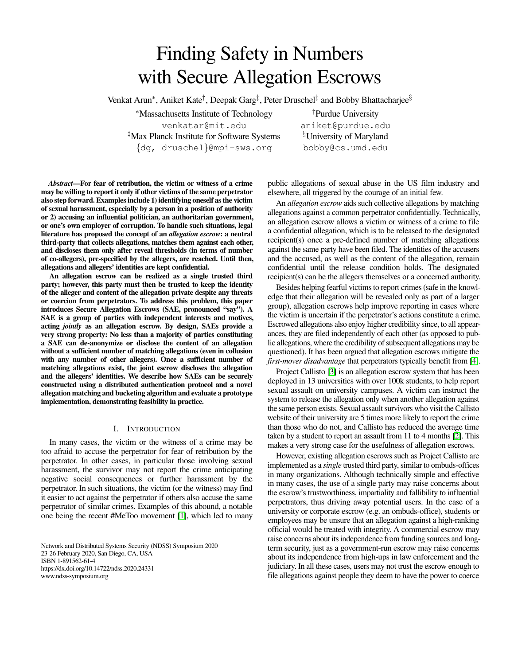# Finding Safety in Numbers with Secure Allegation Escrows

Venkat Arun<sup>∗</sup>, Aniket Kate<sup>†</sup>, Deepak Garg<sup>‡</sup>, Peter Druschel<sup>‡</sup> and Bobby Bhattacharjee<sup>§</sup>

<sup>∗</sup>Massachusetts Institute of Technology venkatar@mit.edu ‡Max Planck Institute for Software Systems {dg, druschel}@mpi-sws.org

†Purdue University aniket@purdue.edu §University of Maryland bobby@cs.umd.edu

*Abstract*—For fear of retribution, the victim or witness of a crime may be willing to report it only if other victims of the same perpetrator also step forward. Examples include 1) identifying oneself as the victim of sexual harassment, especially by a person in a position of authority or 2) accusing an influential politician, an authoritarian government, or one's own employer of corruption. To handle such situations, legal literature has proposed the concept of an *allegation escrow*: a neutral third-party that collects allegations, matches them against each other, and discloses them only after reveal thresholds (in terms of number of co-allegers), pre-specified by the allegers, are reached. Until then, allegations and allegers' identities are kept confidential.

An allegation escrow can be realized as a single trusted third party; however, this party must then be trusted to keep the identity of the alleger and content of the allegation private despite any threats or coercion from perpetrators. To address this problem, this paper introduces Secure Allegation Escrows (SAE, pronounced "say"). A SAE is a group of parties with independent interests and motives, acting *jointly* as an allegation escrow. By design, SAEs provide a very strong property: No less than a majority of parties constituting a SAE can de-anonymize or disclose the content of an allegation without a sufficient number of matching allegations (even in collusion with any number of other allegers). Once a sufficient number of matching allegations exist, the joint escrow discloses the allegation and the allegers' identities. We describe how SAEs can be securely constructed using a distributed authentication protocol and a novel allegation matching and bucketing algorithm and evaluate a prototype implementation, demonstrating feasibility in practice.

# I. INTRODUCTION

In many cases, the victim or the witness of a crime may be too afraid to accuse the perpetrator for fear of retribution by the perpetrator. In other cases, in particular those involving sexual harassment, the survivor may not report the crime anticipating negative social consequences or further harassment by the perpetrator. In such situations, the victim (or the witness) may find it easier to act against the perpetrator if others also accuse the same perpetrator of similar crimes. Examples of this abound, a notable one being the recent #MeToo movement [\[1\]](#page-13-0), which led to many

Network and Distributed Systems Security (NDSS) Symposium 2020 23-26 February 2020, San Diego, CA, USA ISBN 1-891562-61-4 https://dx.doi.org/10.14722/ndss.2020.24331 www.ndss-symposium.org

public allegations of sexual abuse in the US film industry and elsewhere, all triggered by the courage of an initial few.

An *allegation escrow* aids such collective allegations by matching allegations against a common perpetrator confidentially. Technically, an allegation escrow allows a victim or witness of a crime to file a confidential allegation, which is to be released to the designated recipient(s) once a pre-defined number of matching allegations against the same party have been filed. The identities of the accusers and the accused, as well as the content of the allegation, remain confidential until the release condition holds. The designated recipient(s) can be the allegers themselves or a concerned authority.

Besides helping fearful victims to report crimes (safe in the knowledge that their allegation will be revealed only as part of a larger group), allegation escrows help improve reporting in cases where the victim is uncertain if the perpetrator's actions constitute a crime. Escrowed allegations also enjoy higher credibility since, to all appearances, they are filed independently of each other (as opposed to public allegations, where the credibility of subsequent allegations may be questioned). It has been argued that allegation escrows mitigate the *first-mover disadvantage* that perpetrators typically benefit from [\[4\]](#page-13-1).

Project Callisto [\[3\]](#page-13-2) is an allegation escrow system that has been deployed in 13 universities with over 100k students, to help report sexual assault on university campuses. A victim can instruct the system to release the allegation only when another allegation against the same person exists. Sexual assault survivors who visit the Callisto website of their university are 5 times more likely to report the crime than those who do not, and Callisto has reduced the average time taken by a student to report an assault from 11 to 4 months [\[2\]](#page-13-3). This makes a very strong case for the usefulness of allegation escrows.

However, existing allegation escrows such as Project Callisto are implemented as a *single* trusted third party, similar to ombuds-offices in many organizations. Although technically simple and effective in many cases, the use of a single party may raise concerns about the escrow's trustworthiness, impartiality and fallibility to influential perpetrators, thus driving away potential users. In the case of a university or corporate escrow (e.g. an ombuds-office), students or employees may be unsure that an allegation against a high-ranking official would be treated with integrity. A commercial escrow may raise concerns about its independence from funding sources and longterm security, just as a government-run escrow may raise concerns about its independence from high-ups in law enforcement and the judiciary. In all these cases, users may not trust the escrow enough to file allegations against people they deem to have the power to coerce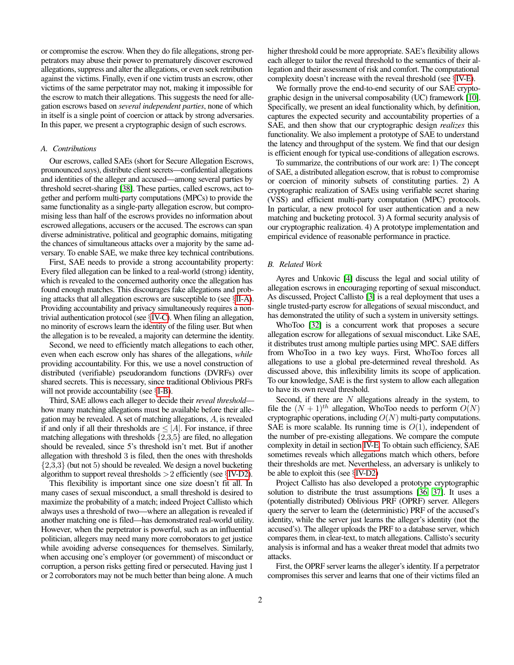or compromise the escrow. When they do file allegations, strong perpetrators may abuse their power to prematurely discover escrowed allegations, suppress and alter the allegations, or even seek retribution against the victims. Finally, even if one victim trusts an escrow, other victims of the same perpetrator may not, making it impossible for the escrow to match their allegations. This suggests the need for allegation escrows based on *several independent parties*, none of which in itself is a single point of coercion or attack by strong adversaries. In this paper, we present a cryptographic design of such escrows.

## *A. Contributions*

Our escrows, called SAEs (short for Secure Allegation Escrows, prounounced *say*s), distribute client secrets—confidential allegations and identities of the alleger and accused—among several parties by threshold secret-sharing [\[38\]](#page-14-0). These parties, called escrows, act together and perform multi-party computations (MPCs) to provide the same functionality as a single-party allegation escrow, but compromising less than half of the escrows provides no information about escrowed allegations, accusers or the accused. The escrows can span diverse administrative, political and geographic domains, mitigating the chances of simultaneous attacks over a majority by the same adversary. To enable SAE, we make three key technical contributions.

First, SAE needs to provide a strong accountability property: Every filed allegation can be linked to a real-world (strong) identity, which is revealed to the concerned authority once the allegation has found enough matches. This discourages fake allegations and probing attacks that all allegation escrows are susceptible to (see §[II-A\)](#page-2-0). Providing accountability and privacy simultaneously requires a nontrivial authentication protocol (see §[IV-C\)](#page-5-0). When filing an allegation, no minority of escrows learn the identity of the filing user. But when the allegation is to be revealed, a majority can determine the identity.

Second, we need to efficiently match allegations to each other, even when each escrow only has shares of the allegations, *while* providing accountability. For this, we use a novel construction of distributed (verifiable) pseudorandom functions (DVRFs) over shared secrets. This is necessary, since traditional Oblivious PRFs will not provide accountability (see  $\S I-B$ ).

Third, SAE allows each alleger to decide their *reveal threshold* how many matching allegations must be available before their allegation may be revealed. A set of matching allegations, A, is revealed if and only if all their thresholds are  $\leq |A|$ . For instance, if three matching allegations with thresholds  $\{2,3,5\}$  are filed, no allegation should be revealed, since 5's threshold isn't met. But if another allegation with threshold 3 is filed, then the ones with thresholds  $\{2,3,3\}$  (but not 5) should be revealed. We design a novel bucketing algorithm to support reveal thresholds  $>2$  efficiently (see §[IV-D2\)](#page-6-0).

This flexibility is important since one size doesn't fit all. In many cases of sexual misconduct, a small threshold is desired to maximize the probability of a match; indeed Project Callisto which always uses a threshold of two—where an allegation is revealed if another matching one is filed—has demonstrated real-world utility. However, when the perpetrator is powerful, such as an influential politician, allegers may need many more corroborators to get justice while avoiding adverse consequences for themselves. Similarly, when accusing one's employer (or government) of misconduct or corruption, a person risks getting fired or persecuted. Having just 1 or 2 corroborators may not be much better than being alone. A much

higher threshold could be more appropriate. SAE's flexibility allows each alleger to tailor the reveal threshold to the semantics of their allegation and their assessment of risk and comfort. The computational complexity doesn't increase with the reveal threshold (see §[IV-E\)](#page-8-0).

We formally prove the end-to-end security of our SAE cryptographic design in the universal composability (UC) framework [\[10\]](#page-13-4). Specifically, we present an ideal functionality which, by definition, captures the expected security and accountability properties of a SAE, and then show that our cryptographic design *realizes* this functionality. We also implement a prototype of SAE to understand the latency and throughput of the system. We find that our design is efficient enough for typical use-conditions of allegation escrows.

To summarize, the contributions of our work are: 1) The concept of SAE, a distributed allegation escrow, that is robust to compromise or coercion of minority subsets of constituting parties. 2) A cryptographic realization of SAEs using verifiable secret sharing (VSS) and efficient multi-party computation (MPC) protocols. In particular, a new protocol for user authentication and a new matching and bucketing protocol. 3) A formal security analysis of our cryptographic realization. 4) A prototype implementation and empirical evidence of reasonable performance in practice.

## <span id="page-1-0"></span>*B. Related Work*

Ayres and Unkovic [\[4\]](#page-13-1) discuss the legal and social utility of allegation escrows in encouraging reporting of sexual misconduct. As discussed, Project Callisto [\[3\]](#page-13-2) is a real deployment that uses a single trusted-party escrow for allegations of sexual misconduct, and has demonstrated the utility of such a system in university settings.

WhoToo [\[32\]](#page-14-1) is a concurrent work that proposes a secure allegation escrow for allegations of sexual misconduct. Like SAE, it distributes trust among multiple parties using MPC. SAE differs from WhoToo in a two key ways. First, WhoToo forces all allegations to use a global pre-determined reveal threshold. As discussed above, this inflexibility limits its scope of application. To our knowledge, SAE is the first system to allow each allegation to have its own reveal threshold.

Second, if there are  $N$  allegations already in the system, to file the  $(N + 1)^{th}$  allegation, WhoToo needs to perform  $O(N)$ cryptographic operations, including  $O(N)$  multi-party computations. SAE is more scalable. Its running time is  $O(1)$ , independent of the number of pre-existing allegations. We compare the compute complexity in detail in section [IV-E.](#page-8-0) To obtain such efficiency, SAE sometimes reveals which allegations match which others, before their thresholds are met. Nevertheless, an adversary is unlikely to be able to exploit this (see §[IV-D2\)](#page-6-0)

Project Callisto has also developed a prototype cryptographic solution to distribute the trust assumptions [\[36,](#page-14-2) [37\]](#page-14-3). It uses a (potentially distributed) Oblivious PRF (OPRF) server. Allegers query the server to learn the (deterministic) PRF of the accused's identity, while the server just learns the alleger's identity (not the accused's). The alleger uploads the PRF to a database server, which compares them, in clear-text, to match allegations. Callisto's security analysis is informal and has a weaker threat model that admits two attacks.

First, the OPRF server learns the alleger's identity. If a perpetrator compromises this server and learns that one of their victims filed an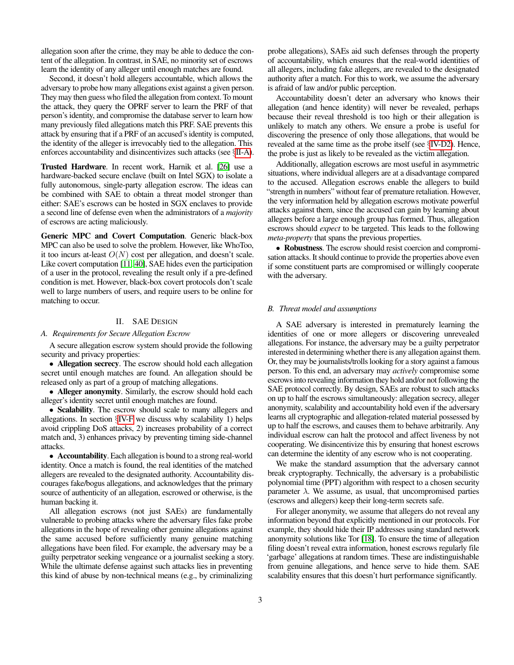allegation soon after the crime, they may be able to deduce the content of the allegation. In contrast, in SAE, no minority set of escrows learn the identity of any alleger until enough matches are found.

Second, it doesn't hold allegers accountable, which allows the adversary to probe how many allegations exist against a given person. They may then guess who filed the allegation from context. To mount the attack, they query the OPRF server to learn the PRF of that person's identity, and compromise the database server to learn how many previously filed allegations match this PRF. SAE prevents this attack by ensuring that if a PRF of an accused's identity is computed, the identity of the alleger is irrevocably tied to the allegation. This enforces accountability and disincentivizes such attacks (see §[II-A\)](#page-2-0).

Trusted Hardware. In recent work, Harnik et al. [\[26\]](#page-13-5) use a hardware-backed secure enclave (built on Intel SGX) to isolate a fully autonomous, single-party allegation escrow. The ideas can be combined with SAE to obtain a threat model stronger than either: SAE's escrows can be hosted in SGX enclaves to provide a second line of defense even when the administrators of a *majority* of escrows are acting maliciously.

Generic MPC and Covert Computation. Generic black-box MPC can also be used to solve the problem. However, like WhoToo, it too incurs at-least  $O(N)$  cost per allegation, and doesn't scale. Like covert computation [\[11,](#page-13-6) [40\]](#page-14-4), SAE hides even the participation of a user in the protocol, revealing the result only if a pre-defined condition is met. However, black-box covert protocols don't scale well to large numbers of users, and require users to be online for matching to occur.

# II. SAE DESIGN

#### <span id="page-2-1"></span><span id="page-2-0"></span>*A. Requirements for Secure Allegation Escrow*

A secure allegation escrow system should provide the following security and privacy properties:

• Allegation secrecy. The escrow should hold each allegation secret until enough matches are found. An allegation should be released only as part of a group of matching allegations.

• Alleger anonymity. Similarly, the escrow should hold each alleger's identity secret until enough matches are found.

• Scalability. The escrow should scale to many allegers and allegations. In section §[IV-F](#page-8-1) we discuss why scalability 1) helps avoid crippling DoS attacks, 2) increases probability of a correct match and, 3) enhances privacy by preventing timing side-channel attacks.

• Accountability. Each allegation is bound to a strong real-world identity. Once a match is found, the real identities of the matched allegers are revealed to the designated authority. Accountability discourages fake/bogus allegations, and acknowledges that the primary source of authenticity of an allegation, escrowed or otherwise, is the human backing it.

All allegation escrows (not just SAEs) are fundamentally vulnerable to probing attacks where the adversary files fake probe allegations in the hope of revealing other genuine allegations against the same accused before sufficiently many genuine matching allegations have been filed. For example, the adversary may be a guilty perpetrator seeking vengeance or a journalist seeking a story. While the ultimate defense against such attacks lies in preventing this kind of abuse by non-technical means (e.g., by criminalizing

probe allegations), SAEs aid such defenses through the property of accountability, which ensures that the real-world identities of all allegers, including fake allegers, are revealed to the designated authority after a match. For this to work, we assume the adversary is afraid of law and/or public perception.

Accountability doesn't deter an adversary who knows their allegation (and hence identity) will never be revealed, perhaps because their reveal threshold is too high or their allegation is unlikely to match any others. We ensure a probe is useful for discovering the presence of only those allegations, that would be revealed at the same time as the probe itself (see §[IV-D2\)](#page-6-0). Hence, the probe is just as likely to be revealed as the victim allegation.

Additionally, allegation escrows are most useful in asymmetric situations, where individual allegers are at a disadvantage compared to the accused. Allegation escrows enable the allegers to build "strength in numbers" without fear of premature retaliation. However, the very information held by allegation escrows motivate powerful attacks against them, since the accused can gain by learning about allegers before a large enough group has formed. Thus, allegation escrows should *expect* to be targeted. This leads to the following *meta-property* that spans the previous properties.

• Robustness. The escrow should resist coercion and compromisation attacks. It should continue to provide the properties above even if some constituent parts are compromised or willingly cooperate with the adversary.

# *B. Threat model and assumptions*

A SAE adversary is interested in prematurely learning the identities of one or more allegers or discovering unrevealed allegations. For instance, the adversary may be a guilty perpetrator interested in determining whether there is any allegation against them. Or, they may be journalists/trolls looking for a story against a famous person. To this end, an adversary may *actively* compromise some escrows into revealing information they hold and/or not following the SAE protocol correctly. By design, SAEs are robust to such attacks on up to half the escrows simultaneously: allegation secrecy, alleger anonymity, scalability and accountability hold even if the adversary learns all cryptographic and allegation-related material possessed by up to half the escrows, and causes them to behave arbitrarily. Any individual escrow can halt the protocol and affect liveness by not cooperating. We disincentivize this by ensuring that honest escrows can determine the identity of any escrow who is not cooperating.

We make the standard assumption that the adversary cannot break cryptography. Technically, the adversary is a probabilistic polynomial time (PPT) algorithm with respect to a chosen security parameter  $\lambda$ . We assume, as usual, that uncompromised parties (escrows and allegers) keep their long-term secrets safe.

For alleger anonymity, we assume that allegers do not reveal any information beyond that explicitly mentioned in our protocols. For example, they should hide their IP addresses using standard network anonymity solutions like Tor [\[18\]](#page-13-7). To ensure the time of allegation filing doesn't reveal extra information, honest escrows regularly file 'garbage' allegations at random times. These are indistinguishable from genuine allegations, and hence serve to hide them. SAE scalability ensures that this doesn't hurt performance significantly.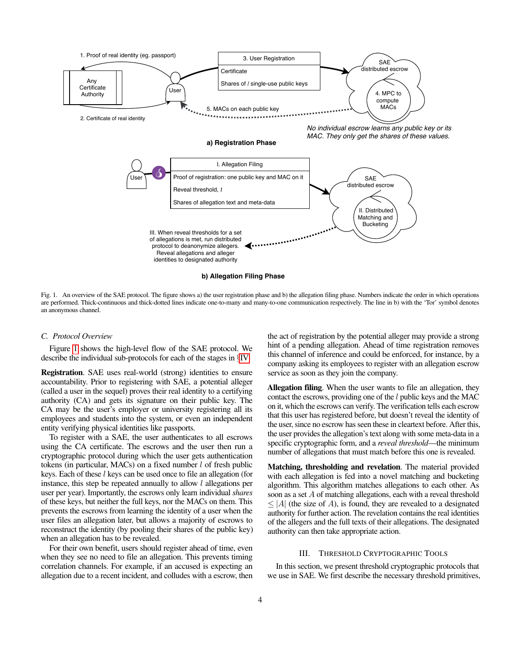

<span id="page-3-0"></span>Fig. 1. An overview of the SAE protocol. The figure shows a) the user registration phase and b) the allegation filing phase. Numbers indicate the order in which operations are performed. Thick-continuous and thick-dotted lines indicate one-to-many and many-to-one communication respectively. The line in b) with the 'Tor' symbol denotes an anonymous channel.

#### *C. Protocol Overview*

Figure [1](#page-3-0) shows the high-level flow of the SAE protocol. We describe the individual sub-protocols for each of the stages in §[IV.](#page-5-1)

Registration. SAE uses real-world (strong) identities to ensure accountability. Prior to registering with SAE, a potential alleger (called a user in the sequel) proves their real identity to a certifying authority (CA) and gets its signature on their public key. The CA may be the user's employer or university registering all its employees and students into the system, or even an independent entity verifying physical identities like passports.

To register with a SAE, the user authenticates to all escrows using the CA certificate. The escrows and the user then run a cryptographic protocol during which the user gets authentication tokens (in particular, MACs) on a fixed number  $l$  of fresh public keys. Each of these l keys can be used once to file an allegation (for instance, this step be repeated annually to allow  $l$  allegations per user per year). Importantly, the escrows only learn individual *shares* of these keys, but neither the full keys, nor the MACs on them. This prevents the escrows from learning the identity of a user when the user files an allegation later, but allows a majority of escrows to reconstruct the identity (by pooling their shares of the public key) when an allegation has to be revealed.

For their own benefit, users should register ahead of time, even when they see no need to file an allegation. This prevents timing correlation channels. For example, if an accused is expecting an allegation due to a recent incident, and colludes with a escrow, then the act of registration by the potential alleger may provide a strong hint of a pending allegation. Ahead of time registration removes this channel of inference and could be enforced, for instance, by a company asking its employees to register with an allegation escrow service as soon as they join the company.

Allegation filing. When the user wants to file an allegation, they contact the escrows, providing one of the  $l$  public keys and the MAC on it, which the escrows can verify. The verification tells each escrow that this user has registered before, but doesn't reveal the identity of the user, since no escrow has seen these in cleartext before. After this, the user provides the allegation's text along with some meta-data in a specific cryptographic form, and a *reveal threshold*—the minimum number of allegations that must match before this one is revealed.

Matching, thresholding and revelation. The material provided with each allegation is fed into a novel matching and bucketing algorithm. This algorithm matches allegations to each other. As soon as a set A of matching allegations, each with a reveal threshold  $\leq$  |A| (the size of A), is found, they are revealed to a designated authority for further action. The revelation contains the real identities of the allegers and the full texts of their allegations. The designated authority can then take appropriate action.

#### III. THRESHOLD CRYPTOGRAPHIC TOOLS

In this section, we present threshold cryptographic protocols that we use in SAE. We first describe the necessary threshold primitives,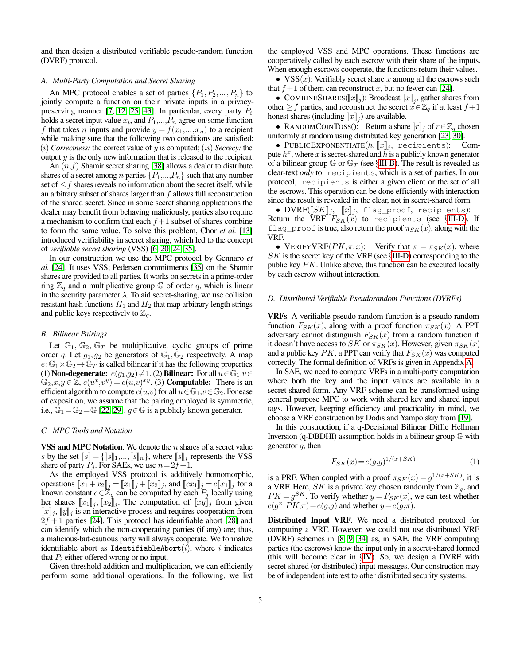and then design a distributed verifiable pseudo-random function (DVRF) protocol.

## *A. Multi-Party Computation and Secret Sharing*

An MPC protocol enables a set of parties  $\{P_1, P_2, \ldots, P_n\}$  to jointly compute a function on their private inputs in a privacy-preserving manner [\[7,](#page-13-8) [12,](#page-13-9) [25,](#page-13-10) [43\]](#page-14-5). In particular, every party  $P_i$ holds a secret input value  $x_i$ , and  $P_1, ..., P_n$  agree on some function f that takes n inputs and provide  $y = f(x_1,...,x_n)$  to a recipient while making sure that the following two conditions are satisfied: (i) *Correctness:* the correct value of y is computed; (ii) *Secrecy:* the output  $y$  is the only new information that is released to the recipient.

An  $(n, f)$  Shamir secret sharing [\[38\]](#page-14-0) allows a dealer to distribute shares of a secret among *n* parties  $\{P_1,...,P_n\}$  such that any number set of  $\leq f$  shares reveals no information about the secret itself, while an arbitrary subset of shares larger than  $f$  allows full reconstruction of the shared secret. Since in some secret sharing applications the dealer may benefit from behaving maliciously, parties also require a mechanism to confirm that each  $f + 1$  subset of shares combine to form the same value. To solve this problem, Chor *et al.* [\[13\]](#page-13-11) introduced verifiability in secret sharing, which led to the concept of *verifiable secret sharing* (VSS) [\[6,](#page-13-12) [20,](#page-13-13) [24,](#page-13-14) [35\]](#page-14-6).

In our construction we use the MPC protocol by Gennaro *et al.* [\[24\]](#page-13-14). It uses VSS; Pedersen commitments [\[35\]](#page-14-6) on the Shamir shares are provided to all parties. It works on secrets in a prime-order ring  $\mathbb{Z}_q$  and a multiplicative group  $\mathbb G$  of order q, which is linear in the security parameter  $\lambda$ . To aid secret-sharing, we use collision resistant hash functions  $H_1$  and  $H_2$  that map arbitrary length strings and public keys respectively to  $\mathbb{Z}_q$ .

## <span id="page-4-0"></span>*B. Bilinear Pairings*

Let  $\mathbb{G}_1$ ,  $\mathbb{G}_2$ ,  $\mathbb{G}_T$  be multiplicative, cyclic groups of prime order q. Let  $g_1, g_2$  be generators of  $\mathbb{G}_1, \mathbb{G}_2$  respectively. A map  $e:\mathbb{G}_1\times\mathbb{G}_2\to\mathbb{G}_T$  is called bilinear if it has the following properties. (1) **Non-degenerate:**  $e(g_1,g_2)\neq 1$ . (2) **Bilinear:** For all  $u \in \mathbb{G}_1, v \in \mathbb{G}_2$  $\mathbb{G}_2$ ,  $x,y \in \mathbb{Z}$ ,  $e(u^x,v^y) = e(u,v)^{xy}$ . (3) **Computable:** There is an efficient algorithm to compute  $e(u,v)$  for all  $u \in \mathbb{G}_1, v \in \mathbb{G}_2$ . For ease of exposition, we assume that the pairing employed is symmetric, i.e.,  $\mathbb{G}_1=\mathbb{G}_2=\mathbb{G}$  [\[22,](#page-13-15) [29\]](#page-14-7).  $g \in \mathbb{G}$  is a publicly known generator.

## <span id="page-4-2"></span>*C. MPC Tools and Notation*

VSS and MPC Notation. We denote the  $n$  shares of a secret value s by the set  $[s] = \{ [s]_1, ..., [s]_n \}$ , where  $[s]_j$  represents the VSS share of party  $P_i$ . For SAEs, we use  $n=2f+1$ .

As the employed VSS protocol is additively homomorphic, operations  $[x_1+x_2]_j = [x_1]_j + [x_2]_j$ , and  $[x_1]_j = c[x_1]_j$  for a known constant  $c \in \mathbb{Z}_q$  can be computed by each  $P_j$  locally using her shares  $[[x_1]]_j, [[x_2]]_j$ . The computation of  $[[xy]]_j$  from given  $\llbracket x \rrbracket_i$ ,  $\llbracket y \rrbracket_i$  is an interactive process and requires cooperation from  $2f + 1$  parties [\[24\]](#page-13-14). This protocol has identifiable abort [\[28\]](#page-13-16) and can identify which the non-cooperating parties (if any) are; thus, a malicious-but-cautious party will always cooperate. We formalize identifiable abort as IdentifiableAbort $(i)$ , where i indicates that  $P_i$  either offered wrong or no input.

Given threshold addition and multiplication, we can efficiently perform some additional operations. In the following, we list the employed VSS and MPC operations. These functions are cooperatively called by each escrow with their share of the inputs. When enough escrows cooperate, the functions return their values.

•  $VSS(x)$ : Verifiably secret share x among all the escrows such that  $f+1$  of them can reconstruct x, but no fewer can [\[24\]](#page-13-14).

• COMBINESHARES( $\llbracket x \rrbracket_j$ ): Broadcast  $\llbracket x \rrbracket_j$ , gather shares from other  $\geq f$  parties, and reconstruct the secret  $x \in \mathbb{Z}_q$  if at least  $f+1$ honest shares (including  $[x]_j$ ) are available.

• RANDOMCOINTOSS(): Return a share  $\llbracket r \rrbracket_j$  of  $r \in \mathbb{Z}_q$  chosen uniformly at random using distributed key generation [\[23,](#page-13-17) [30\]](#page-14-8).

• PUBLICEXPONENTIATE $(h, \|x\|_i,$  recipients): Compute  $h^x$ , where x is secret-shared and  $\tilde{h}$  is a publicly known generator of a bilinear group  $\mathbb{G}$  or  $\mathbb{G}_T$  (see §[III-B\)](#page-4-0). The result is revealed as clear-text *only* to recipients, which is a set of parties. In our protocol, recipients is either a given client or the set of all the escrows. This operation can be done efficiently with interaction since the result is revealed in the clear, not in secret-shared form.

• DVRF $(\llbracket SK \rrbracket_j, \llbracket x \rrbracket_j,$  flag\_proof, recipients): Return the VRF  $F_{SK}(x)$  to recipients (see §[III-D\)](#page-4-1). If flag\_proof is true, also return the proof  $\pi_{SK}(x)$ , along with the VRF.

• VERIFYVRF( $PK, \pi, x$ ): Verify that  $\pi = \pi_{SK}(x)$ , where  $SK$  is the secret key of the VRF (see  $\S$ [III-D\)](#page-4-1) corresponding to the public key  $PK$ . Unlike above, this function can be executed locally by each escrow without interaction.

#### <span id="page-4-1"></span>*D. Distributed Verifiable Pseudorandom Functions (DVRFs)*

VRFs. A verifiable pseudo-random function is a pseudo-random function  $F_{SK}(x)$ , along with a proof function  $\pi_{SK}(x)$ . A PPT adversary cannot distinguish  $F_{SK}(x)$  from a random function if it doesn't have access to SK or  $\pi_{SK}(x)$ . However, given  $\pi_{SK}(x)$ and a public key  $PK$ , a PPT can verify that  $F_{SK}(x)$  was computed correctly. The formal definition of VRFs is given in Appendix [A.](#page-14-9)

In SAE, we need to compute VRFs in a multi-party computation where both the key and the input values are available in a secret-shared form. Any VRF scheme can be transformed using general purpose MPC to work with shared key and shared input tags. However, keeping efficiency and practicality in mind, we choose a VRF construction by Dodis and Yampolskiy from [\[19\]](#page-13-18).

In this construction, if a q-Decisional Bilinear Diffie Hellman Inversion (q-DBDHI) assumption holds in a bilinear group G with generator  $q$ , then

$$
F_{SK}(x) = e(g,g)^{1/(x+SK)}
$$
 (1)

is a PRF. When coupled with a proof  $\pi_{SK}(x) = g^{1/(x+SK)}$ , it is a VRF. Here, SK is a private key chosen randomly from  $\mathbb{Z}_q$ , and  $PK = g^{SK}$ . To verify whether  $y = F_{SK}(x)$ , we can test whether  $e(g^x \cdot PK, \pi) = e(g,g)$  and whether  $y = e(g, \pi)$ .

Distributed Input VRF. We need a distributed protocol for computing a VRF. However, we could not use distributed VRF (DVRF) schemes in [\[8,](#page-13-19) [9,](#page-13-20) [34\]](#page-14-10) as, in SAE, the VRF computing parties (the escrows) know the input only in a secret-shared formed (this will become clear in §[IV\)](#page-5-1). So, we design a DVRF with secret-shared (or distributed) input messages. Our construction may be of independent interest to other distributed security systems.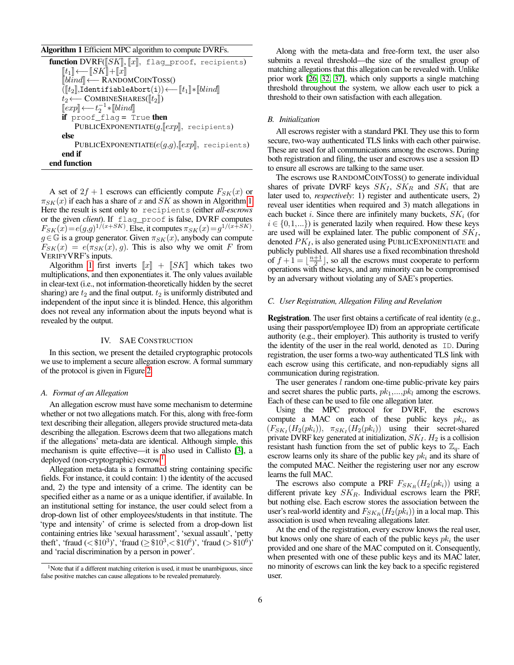## <span id="page-5-2"></span>Algorithm 1 Efficient MPC algorithm to compute DVRFs.

function DVRF( $[SK], [x],$  flag\_proof, recipients)  $[\![t_1]\!] \longleftarrow [\![SK]\!] + [\![x]\!]$ <sup>J</sup>blindK←− <sup>R</sup>ANDOMCOINTOSS()  $([t_2],$ IdentifiableAbort(i))←− $[t_1]*[blind]$  $t_2 \longleftarrow$  COMBINESHARES( $[[t_2]]$ )  $[[exp] \longleftarrow t_2^{-1} * [blind]$ <br>if proof flag = T if  $proof_{flag} = True$  then PUBLICEXPONENTIATE $(g$ , $\llbracket exp \rrbracket$ , recipients) else PUBLICEXPONENTIATE $(e(g,g),\llbracket exp\rrbracket,$  recipients) end if end function

A set of  $2f + 1$  escrows can efficiently compute  $F_{SK}(x)$  or  $\pi_{SK}(x)$  if each has a share of x and SK as shown in Algorithm [1.](#page-5-2) Here the result is sent only to recipients (either *all-escrows* or the given *client*). If flag\_proof is false, DVRF computes  $F_{SK}(x) = e(g,g)^{1/(x+SK)}$ . Else, it computes  $\pi_{SK}(x) = g^{1/(x+SK)}$ .  $g \in \mathbb{G}$  is a group generator. Given  $\pi_{SK}(x)$ , anybody can compute  $F_{SK}(x) = e(\pi_{SK}(x), g)$ . This is also why we omit F from VERIFYVRF's inputs.

Algorithm [1](#page-5-2) first inverts  $||x|| + ||SK||$  which takes two multiplications, and then exponentiates it. The only values available in clear-text (i.e., not information-theoretically hidden by the secret sharing) are  $t_2$  and the final output.  $t_2$  is uniformly distributed and independent of the input since it is blinded. Hence, this algorithm does not reveal any information about the inputs beyond what is revealed by the output.

#### IV. SAE CONSTRUCTION

<span id="page-5-1"></span>In this section, we present the detailed cryptographic protocols we use to implement a secure allegation escrow. A formal summary of the protocol is given in Figure [2.](#page-9-0)

#### *A. Format of an Allegation*

An allegation escrow must have some mechanism to determine whether or not two allegations match. For this, along with free-form text describing their allegation, allegers provide structured meta-data describing the allegation. Escrows deem that two allegations match if the allegations' meta-data are identical. Although simple, this mechanism is quite effective—it is also used in Callisto [\[3\]](#page-13-2), a deployed (non-cryptographic) escrow.<sup>[1](#page-5-3)</sup>

Allegation meta-data is a formatted string containing specific fields. For instance, it could contain: 1) the identity of the accused and, 2) the type and intensity of a crime. The identity can be specified either as a name or as a unique identifier, if available. In an institutional setting for instance, the user could select from a drop-down list of other employees/students in that institute. The 'type and intensity' of crime is selected from a drop-down list containing entries like 'sexual harassment', 'sexual assault', 'petty theft', 'fraud ( $\langle \text{\$10}^3 \rangle$ ', 'fraud ( $\ge \text{\$10}^3$ ,  $\langle \text{\$10}^6 \rangle$ ', 'fraud ( $> \text{\$10}^6$ )' and 'racial discrimination by a person in power'.

Along with the meta-data and free-form text, the user also submits a reveal threshold—the size of the smallest group of matching allegations that this allegation can be revealed with. Unlike prior work [\[26,](#page-13-5) [32,](#page-14-1) [37\]](#page-14-3), which only supports a single matching threshold throughout the system, we allow each user to pick a threshold to their own satisfaction with each allegation.

# *B. Initialization*

All escrows register with a standard PKI. They use this to form secure, two-way authenticated TLS links with each other pairwise. These are used for all communications among the escrows. During both registration and filing, the user and escrows use a session ID to ensure all escrows are talking to the same user.

The escrows use RANDOMCOINTOSS() to generate individual shares of private DVRF keys  $SK_I$ ,  $SK_R$  and  $SK_i$  that are later used to, *respectively*: 1) register and authenticate users, 2) reveal user identities when required and 3) match allegations in each bucket i. Since there are infinitely many buckets,  $SK_i$  (for  $i \in \{0,1,...\}$  is generated lazily when required. How these keys are used will be explained later. The public component of  $SK_I$ , denoted  $PK_I$ , is also generated using PUBLICEXPONENTIATE and publicly published. All shares use a fixed recombination threshold of  $f + 1 = \lfloor \frac{n+1}{2} \rfloor$ , so all the escrows must cooperate to perform operations with these keys, and any minority can be compromised by an adversary without violating any of SAE's properties.

## <span id="page-5-0"></span>*C. User Registration, Allegation Filing and Revelation*

Registration. The user first obtains a certificate of real identity (e.g., using their passport/employee ID) from an appropriate certificate authority (e.g., their employer). This authority is trusted to verify the identity of the user in the real world, denoted as ID. During registration, the user forms a two-way authenticated TLS link with each escrow using this certificate, and non-repudiably signs all communication during registration.

The user generates  $l$  random one-time public-private key pairs and secret shares the public parts,  $pk_1, \ldots, pk_l$  among the escrows. Each of these can be used to file one allegation later.

Using the MPC protocol for DVRF, the escrows compute a MAC on each of these public keys  $pk_i$ , as  $(F_{SK_I}(H_2(pk_i)), \pi_{SK_I}(H_2(pk_i))$  using their secret-shared private DVRF key generated at initialization,  $SK_I$ .  $H_2$  is a collision resistant hash function from the set of public keys to  $\mathbb{Z}_q$ . Each escrow learns only its share of the public key  $pk_i$  and its share of the computed MAC. Neither the registering user nor any escrow learns the full MAC.

The escrows also compute a PRF  $F_{SK_R}(H_2(pk_i))$  using a different private key  $SK_R$ . Individual escrows learn the PRF, but nothing else. Each escrow stores the association between the user's real-world identity and  $F_{SK_B}(H_2(pk_i))$  in a local map. This association is used when revealing allegations later.

At the end of the registration, every escrow knows the real user, but knows only one share of each of the public keys  $pk_i$  the user provided and one share of the MAC computed on it. Consequently, when presented with one of these public keys and its MAC later, no minority of escrows can link the key back to a specific registered user.

<span id="page-5-3"></span><sup>&</sup>lt;sup>1</sup>Note that if a different matching criterion is used, it must be unambiguous, since false positive matches can cause allegations to be revealed prematurely.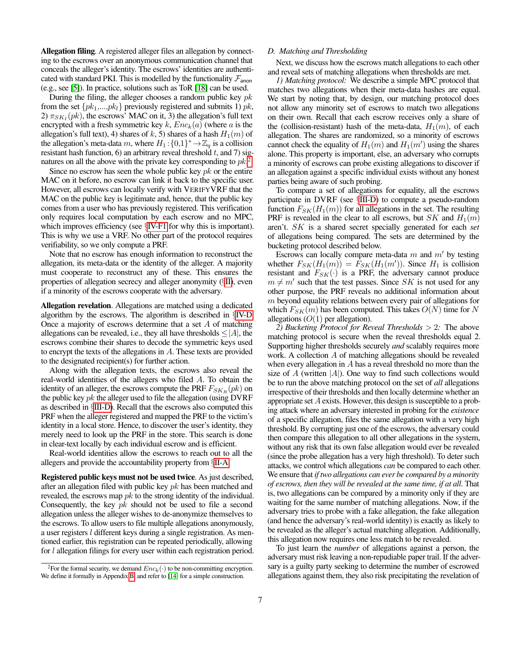Allegation filing. A registered alleger files an allegation by connecting to the escrows over an anonymous communication channel that conceals the alleger's identity. The escrows' identities are authenticated with standard PKI. This is modelled by the functionality  $\mathcal{F}_{\text{anon}}$ (e.g., see [\[5\]](#page-13-21)). In practice, solutions such as ToR [\[18\]](#page-13-7) can be used.

During the filing, the alleger chooses a random public key  $pk$ from the set  $\{pk_1,...,pk_l\}$  previously registered and submits 1)  $pk$ , 2)  $\pi_{SK_I}(pk)$ , the escrows' MAC on it, 3) the allegation's full text encrypted with a fresh symmetric key k,  $Enc_k(a)$  (where a is the allegation's full text), 4) shares of k, 5) shares of a hash  $H_1(m)$  of the allegation's meta-data m, where  $H_1$ :  $\{0,1\}^* \to \mathbb{Z}_q$  is a collision resistant hash function, 6) an arbitrary reveal threshold  $t$ , and 7) signatures on all the above with the private key corresponding to  $pk^2$  $pk^2$ 

Since no escrow has seen the whole public key  $pk$  or the entire MAC on it before, no escrow can link it back to the specific user. However, all escrows can locally verify with VERIFYVRF that the MAC on the public key is legitimate and, hence, that the public key comes from a user who has previously registered. This verification only requires local computation by each escrow and no MPC, which improves efficiency (see §[IV-F1](#page-8-2) for why this is important). This is why we use a VRF. No other part of the protocol requires verifiability, so we only compute a PRF.

Note that no escrow has enough information to reconstruct the allegation, its meta-data or the identity of the alleger. A majority must cooperate to reconstruct any of these. This ensures the properties of allegation secrecy and alleger anonymity (§[II\)](#page-2-1), even if a minority of the escrows cooperate with the adversary.

Allegation revelation. Allegations are matched using a dedicated algorithm by the escrows. The algorithm is described in §[IV-D.](#page-6-2) Once a majority of escrows determine that a set A of matching allegations can be revealed, i.e., they all have thresholds  $\leq |A|$ , the escrows combine their shares to decode the symmetric keys used to encrypt the texts of the allegations in A. These texts are provided to the designated recipient(s) for further action.

Along with the allegation texts, the escrows also reveal the real-world identities of the allegers who filed A. To obtain the identity of an alleger, the escrows compute the PRF  $F_{SK_B}(pk)$  on the public key  $pk$  the alleger used to file the allegation (using DVRF as described in §[III-D\)](#page-4-1). Recall that the escrows also computed this PRF when the alleger registered and mapped the PRF to the victim's identity in a local store. Hence, to discover the user's identity, they merely need to look up the PRF in the store. This search is done in clear-text locally by each individual escrow and is efficient.

Real-world identities allow the escrows to reach out to all the allegers and provide the accountability property from §[II-A.](#page-2-0)

Registered public keys must not be used twice. As just described, after an allegation filed with public key  $pk$  has been matched and revealed, the escrows map  $pk$  to the strong identity of the individual. Consequently, the key  $pk$  should not be used to file a second allegation unless the alleger wishes to de-anonymize themselves to the escrows. To allow users to file multiple allegations anonymously, a user registers l different keys during a single registration. As mentioned earlier, this registration can be repeated periodically, allowing for l allegation filings for every user within each registration period.

# <span id="page-6-2"></span>*D. Matching and Thresholding*

Next, we discuss how the escrows match allegations to each other and reveal sets of matching allegations when thresholds are met.

<span id="page-6-3"></span>*1) Matching protocol:* We describe a simple MPC protocol that matches two allegations when their meta-data hashes are equal. We start by noting that, by design, our matching protocol does not allow any minority set of escrows to match two allegations on their own. Recall that each escrow receives only a share of the (collision-resistant) hash of the meta-data,  $H_1(m)$ , of each allegation. The shares are randomized, so a minority of escrows cannot check the equality of  $H_1(m)$  and  $H_1(m')$  using the shares alone. This property is important, else, an adversary who corrupts a minority of escrows can probe existing allegations to discover if an allegation against a specific individual exists without any honest parties being aware of such probing.

To compare a set of allegations for equality, all the escrows participate in DVRF (see §[III-D\)](#page-4-1) to compute a pseudo-random function  $F_{SK}(H_1(m))$  for all allegations in the set. The resulting PRF is revealed in the clear to all escrows, but SK and  $H_1(m)$ aren't. SK is a shared secret specially generated for each *set* of allegations being compared. The sets are determined by the bucketing protocol described below.

Escrows can locally compare meta-data  $m$  and  $m'$  by testing whether  $F_{SK}(H_1(m)) = \hat{F}_{SK}(H_1(m'))$ . Since  $H_1$  is collision resistant and  $F_{SK}(\cdot)$  is a PRF, the adversary cannot produce  $m \neq m'$  such that the test passes. Since SK is not used for any other purpose, the PRF reveals no additional information about  $m$  beyond equality relations between every pair of allegations for which  $F_{SK}(m)$  has been computed. This takes  $O(N)$  time for N allegations  $(O(1))$  per allegation).

<span id="page-6-0"></span>*2) Bucketing Protocol for Reveal Thresholds* > 2*:* The above matching protocol is secure when the reveal thresholds equal 2. Supporting higher thresholds securely *and* scalably requires more work. A collection A of matching allegations should be revealed when every allegation in  $A$  has a reveal threshold no more than the size of A (written  $|A|$ ). One way to find such collections would be to run the above matching protocol on the set of *all* allegations irrespective of their thresholds and then locally determine whether an appropriate set A exists. However, this design is susceptible to a probing attack where an adversary interested in probing for the *existence* of a specific allegation, files the same allegation with a very high threshold. By corrupting just one of the escrows, the adversary could then compare this allegation to all other allegations in the system, without any risk that its own false allegation would ever be revealed (since the probe allegation has a very high threshold). To deter such attacks, we control which allegations *can* be compared to each other. We ensure that *if two allegations can ever be compared by a minority of escrows, then they will be revealed at the same time, if at all*. That is, two allegations can be compared by a minority only if they are waiting for the same number of matching allegations. Now, if the adversary tries to probe with a fake allegation, the fake allegation (and hence the adversary's real-world identity) is exactly as likely to be revealed as the alleger's actual matching allegation. Additionally, this allegation now requires one less match to be revealed.

To just learn the *number* of allegations against a person, the adversary must risk leaving a non-repudiable paper trail. If the adversary is a guilty party seeking to determine the number of escrowed allegations against them, they also risk precipitating the revelation of

<span id="page-6-1"></span><sup>&</sup>lt;sup>2</sup>For the formal security, we demand  $Enc_k(\cdot)$  to be non-committing encryption. We define it formally in Appendix [B,](#page-14-11) and refer to [\[14\]](#page-13-22) for a simple construction.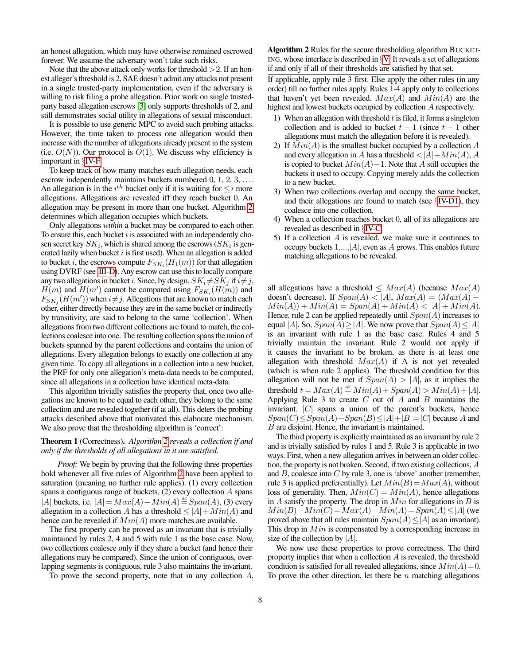an honest allegation, which may have otherwise remained escrowed forever. We assume the adversary won't take such risks.

Note that the above attack only works for threshold  $> 2$ . If an honest alleger's threshold is 2, SAE doesn't admit any attacks not present in a single trusted-party implementation, even if the adversary is willing to risk filing a probe allegation. Prior work on single trustedparty based allegation escrows [\[3\]](#page-13-2) only supports thresholds of 2, and still demonstrates social utility in allegations of sexual misconduct.

It is possible to use generic MPC to avoid such probing attacks. However, the time taken to process one allegation would then increase with the number of allegations already present in the system (i.e.  $O(N)$ ). Our protocol is  $O(1)$ . We discuss why efficiency is important in §[IV-F.](#page-8-1)

To keep track of how many matches each allegation needs, each escrow independently maintains buckets numbered 0, 1, 2, 3, .... An allegation is in the  $i^{th}$  bucket only if it is waiting for  $\leq i$  more allegations. Allegations are revealed iff they reach bucket 0. An allegation may be present in more than one bucket. Algorithm [2](#page-7-0) determines which allegation occupies which buckets.

Only allegations *within* a bucket may be compared to each other. To ensure this, each bucket  $i$  is associated with an independently chosen secret key  $SK_i$ , which is shared among the escrows  $(SK_i)$  is generated lazily when bucket  $i$  is first used). When an allegation is added to bucket *i*, the escrows compute  $F_{SK_i}(H_1(m))$  for that allegation using DVRF (see [III-D\)](#page-4-1). Any escrow can use this to locally compare any two allegations in bucket i. Since, by design,  $SK_i \neq SK_j$  if  $i \neq j$ ,  $H(m)$  and  $H(m')$  cannot be compared using  $F_{SK_i}(H(m))$  and  $F_{SK_j}(H(m'))$  when  $i \neq j$ . Allegations that are known to match each other, either directly because they are in the same bucket or indirectly by transitivity, are said to belong to the same 'collection'. When allegations from two different collections are found to match, the collections coalesce into one. The resulting collection spans the union of buckets spanned by the parent collections and contains the union of allegations. Every allegation belongs to exactly one collection at any given time. To copy all allegations in a collection into a new bucket, the PRF for only one allegation's meta-data needs to be computed, since all allegations in a collection have identical meta-data.

This algorithm trivially satisfies the property that, once two allegations are known to be equal to each other, they belong to the same collection and are revealed together (if at all). This deters the probing attacks described above that motivated this elaborate mechanism. We also prove that the thresholding algorithm is 'correct':

# <span id="page-7-1"></span>Theorem 1 (Correctness). *Algorithm [2](#page-7-0) reveals a collection if and only if the thresholds of all allegations in it are satisfied.*

*Proof:* We begin by proving that the following three properties hold whenever all five rules of Algorithm [2](#page-7-0) have been applied to saturation (meaning no further rule applies). (1) every collection spans a contiguous range of buckets,  $(2)$  every collection  $A$  spans |A| buckets, i.e.  $|A| = Max(A) - Min(A) \stackrel{\text{def}}{=} Span(A)$ , (3) every allegation in a collection A has a threshold  $\leq |A| + Min(A)$  and hence can be revealed if  $Min(A)$  more matches are available.

The first property can be proved as an invariant that is trivially maintained by rules 2, 4 and 5 with rule 1 as the base case. Now, two collections coalesce only if they share a bucket (and hence their allegations may be compared). Since the union of contiguous, overlapping segments is contiguous, rule 3 also maintains the invariant.

To prove the second property, note that in any collection A,

<span id="page-7-0"></span>Algorithm 2 Rules for the secure thresholding algorithm BUCKET-ING, whose interface is described in §[V.](#page-8-3) It reveals a set of allegations if and only if all of their thresholds are satisfied by that set.

If applicable, apply rule 3 first. Else apply the other rules (in any order) till no further rules apply. Rules 1-4 apply only to collections that haven't yet been revealed.  $Max(A)$  and  $Min(A)$  are the highest and lowest buckets occupied by collection A respectively.

- 1) When an allegation with threshold  $t$  is filed, it forms a singleton collection and is added to bucket  $t - 1$  (since  $t - 1$  other allegations must match the allegation before it is revealed).
- 2) If  $Min(A)$  is the smallest bucket occupied by a collection A and every allegation in A has a threshold  $\langle |A| + Min(A), A$ is copied to bucket  $Min(A)-1$ . Note that A still occupies the buckets it used to occupy. Copying merely adds the collection to a new bucket.
- 3) When two collections overlap and occupy the same bucket, and their allegations are found to match (see  $\S$ [IV-D1\)](#page-6-3), they coalesce into one collection.
- 4) When a collection reaches bucket 0, all of its allegations are revealed as described in §[IV-C.](#page-5-0)
- 5) If a collection A is revealed, we make sure it continues to occupy buckets  $1, \ldots, |A|$ , even as A grows. This enables future matching allegations to be revealed.

all allegations have a threshold  $\leq Max(A)$  (because  $Max(A)$ ) doesn't decrease). If  $Span(A) < |A|$ ,  $Max(A) = (Max(A) Min(A) + Min(A) = Span(A) + Min(A) < |A| + Min(A).$ Hence, rule 2 can be applied repeatedly until  $Span(A)$  increases to equal |A|. So,  $Span(A) \ge |A|$ . We now prove that  $Span(A) \le |A|$ is an invariant with rule 1 as the base case. Rules 4 and 5 trivially maintain the invariant. Rule 2 would not apply if it causes the invariant to be broken, as there is at least one allegation with threshold  $Max(A)$  if A is not yet revealed (which is when rule 2 applies). The threshold condition for this allegation will not be met if  $Span(A) > |A|$ , as it implies the threshold  $t = Max(A) \stackrel{\text{def}}{=} Min(A) + Span(A) > Min(A) + |A|$ . Applying Rule 3 to create  $C$  out of  $A$  and  $B$  maintains the invariant.  $|C|$  spans a union of the parent's buckets, hence  $Span(C) \leq Span(A) + Span(B) \leq |A| + |B| = |C|$  because A and B are disjoint. Hence, the invariant is maintained.

The third property is explicitly maintained as an invariant by rule 2 and is trivially satisfied by rules 1 and 5. Rule 3 is applicable in two ways. First, when a new allegation arrives in between an older collection, the property is not broken. Second, if two existing collections, A and  $B$ , coalesce into  $C$  by rule 3, one is 'above' another (remember, rule 3 is applied preferentially). Let  $Min(B) = Max(A)$ , without loss of generality. Then,  $Min(C) = Min(A)$ , hence allegations in  $A$  satisfy the property. The drop in  $Min$  for allegations in  $B$  is  $Min(B) - Min(C) = Max(A) - Min(A) = Span(A) \le |A|$  (we proved above that all rules maintain  $Span(A) \leq |A|$  as an invariant). This drop in *Min* is compensated by a corresponding increase in size of the collection by  $|A|$ .

We now use these properties to prove correctness. The third property implies that when a collection  $A$  is revealed, the threshold condition is satisfied for all revealed allegations, since  $Min(A)=0$ . To prove the other direction, let there be  $n$  matching allegations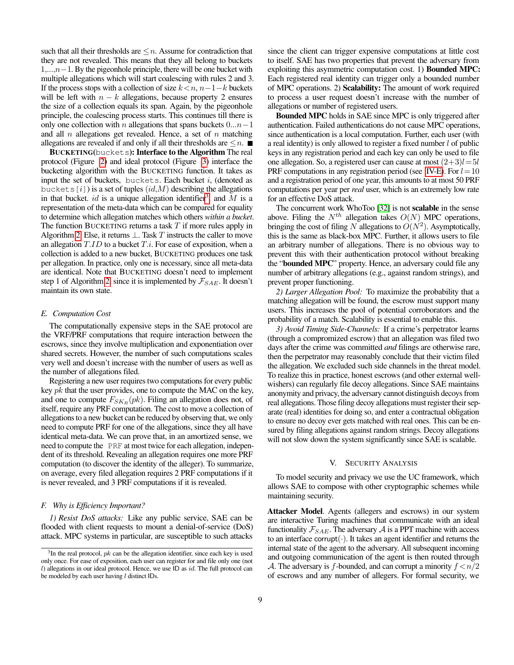such that all their thresholds are  $\leq n$ . Assume for contradiction that they are not revealed. This means that they all belong to buckets  $1, \ldots, n-1$ . By the pigeonhole principle, there will be one bucket with multiple allegations which will start coalescing with rules 2 and 3. If the process stops with a collection of size  $k < n, n-1-k$  buckets will be left with  $n - k$  allegations, because property 2 ensures the size of a collection equals its span. Again, by the pigeonhole principle, the coalescing process starts. This continues till there is only one collection with n allegations that spans buckets  $0...n-1$ and all  $n$  allegations get revealed. Hence, a set of  $n$  matching allegations are revealed if and only if all their thresholds are  $\leq n$ .

BUCKETING(buckets): Interface to the Algorithm The real protocol (Figure [2\)](#page-9-0) and ideal protocol (Figure [3\)](#page-10-0) interface the bucketing algorithm with the BUCKETING function. It takes as input the set of buckets, buckets. Each bucket  $i$ , (denoted as buckets  $[i]$ ) is a set of tuples  $(id,M)$  describing the allegations in that bucket. id is a unique allegation identifier<sup>[3](#page-8-4)</sup>, and M is a representation of the meta-data which can be compared for equality to determine which allegation matches which others *within a bucket*. The function BUCKETING returns a task  $T$  if more rules apply in Algorithm [2.](#page-7-0) Else, it returns  $\perp$ . Task T instructs the caller to move an allegation  $T.ID$  to a bucket  $T.i$ . For ease of exposition, when a collection is added to a new bucket, BUCKETING produces one task per allegation. In practice, only one is necessary, since all meta-data are identical. Note that BUCKETING doesn't need to implement step 1 of Algorithm [2,](#page-7-0) since it is implemented by  $\mathcal{F}_{SAE}$ . It doesn't maintain its own state.

## <span id="page-8-0"></span>*E. Computation Cost*

The computationally expensive steps in the SAE protocol are the VRF/PRF computations that require interaction between the escrows, since they involve multiplication and exponentiation over shared secrets. However, the number of such computations scales very well and doesn't increase with the number of users as well as the number of allegations filed.

Registering a new user requires two computations for every public key  $pk$  that the user provides, one to compute the MAC on the key, and one to compute  $F_{SK_R}(pk)$ . Filing an allegation does not, of itself, require any PRF computation. The cost to move a collection of allegations to a new bucket can be reduced by observing that, we only need to compute PRF for one of the allegations, since they all have identical meta-data. We can prove that, in an amortized sense, we need to compute the PRF at most twice for each allegation, independent of its threshold. Revealing an allegation requires one more PRF computation (to discover the identity of the alleger). To summarize, on average, every filed allegation requires 2 PRF computations if it is never revealed, and 3 PRF computations if it is revealed.

## <span id="page-8-1"></span>*F. Why is Efficiency Important?*

<span id="page-8-2"></span>*1) Resist DoS attacks:* Like any public service, SAE can be flooded with client requests to mount a denial-of-service (DoS) attack. MPC systems in particular, are susceptible to such attacks

since the client can trigger expensive computations at little cost to itself. SAE has two properties that prevent the adversary from exploiting this asymmetric computation cost. 1) Bounded MPC: Each registered real identity can trigger only a bounded number of MPC operations. 2) Scalability: The amount of work required to process a user request doesn't increase with the number of allegations or number of registered users.

Bounded MPC holds in SAE since MPC is only triggered after authentication. Failed authentications do not cause MPC operations, since authentication is a local computation. Further, each user (with a real identity) is only allowed to register a fixed number l of public keys in any registration period and each key can only be used to file one allegation. So, a registered user can cause at most  $(2+3)l=5l$ PRF computations in any registration period (see [IV-E\)](#page-8-0). For  $l=10$ and a registration period of one year, this amounts to at most 50 PRF computations per year per *real* user, which is an extremely low rate for an effective DoS attack.

The concurrent work WhoToo [\[32\]](#page-14-1) is not scalable in the sense above. Filing the  $N^{th}$  allegation takes  $O(N)$  MPC operations, bringing the cost of filing N allegations to  $O(N^2)$ . Asymptotically, this is the same as black-box MPC. Further, it allows users to file an arbitrary number of allegations. There is no obvious way to prevent this with their authentication protocol without breaking the "bounded MPC" property. Hence, an adversary could file any number of arbitrary allegations (e.g., against random strings), and prevent proper functioning.

*2) Larger Allegation Pool:* To maximize the probability that a matching allegation will be found, the escrow must support many users. This increases the pool of potential corroborators and the probability of a match. Scalability is essential to enable this.

*3) Avoid Timing Side-Channels:* If a crime's perpetrator learns (through a compromized escrow) that an allegation was filed two days after the crime was committed *and* filings are otherwise rare, then the perpetrator may reasonably conclude that their victim filed the allegation. We excluded such side channels in the threat model. To realize this in practice, honest escrows (and other external wellwishers) can regularly file decoy allegations. Since SAE maintains anonymity and privacy, the adversary cannot distinguish decoys from real allegations. Those filing decoy allegations must register their separate (real) identities for doing so, and enter a contractual obligation to ensure no decoy ever gets matched with real ones. This can be ensured by filing allegations against random strings. Decoy allegations will not slow down the system significantly since SAE is scalable.

## V. SECURITY ANALYSIS

<span id="page-8-3"></span>To model security and privacy we use the UC framework, which allows SAE to compose with other cryptographic schemes while maintaining security.

Attacker Model. Agents (allegers and escrows) in our system are interactive Turing machines that communicate with an ideal functionality  $\mathcal{F}_{SAE}$ . The adversary A is a PPT machine with access to an interface corrupt $(\cdot)$ . It takes an agent identifier and returns the internal state of the agent to the adversary. All subsequent incoming and outgoing communication of the agent is then routed through A. The adversary is f-bounded, and can corrupt a minority  $f \leq n/2$ of escrows and any number of allegers. For formal security, we

<span id="page-8-4"></span> $3$ In the real protocol,  $pk$  can be the allegation identifier, since each key is used only once. For ease of exposition, each user can register for and file only one (not  $l$ ) allegations in our ideal protocol. Hence, we use ID as  $id$ . The full protocol can be modeled by each user having  $l$  distinct IDs.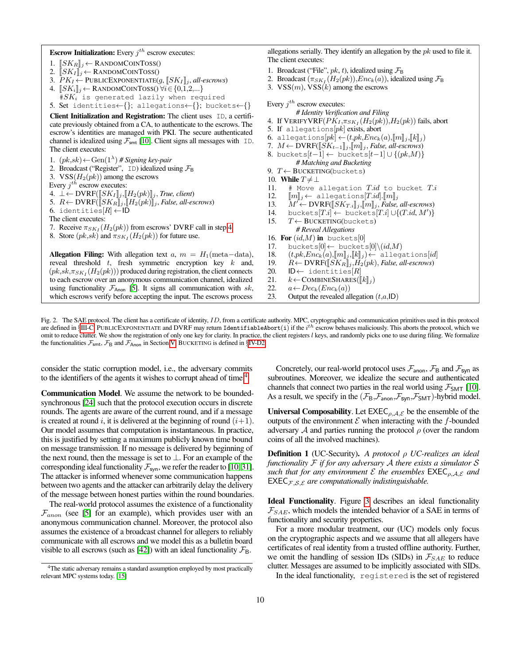# **Escrow Initialization:** Every  $j^{th}$  escrow executes:

- 1.  $[[SK_R]]_j \leftarrow$  RANDOMCOINTOSS()
- 2.  $[[SK_I]]_j \leftarrow$  RANDOMCOINTOSS()
- 3.  $PK_I \leftarrow \text{PUBLICEXPONENTIATE}(g, \llbracket SK_I \rrbracket_j, \text{all-escrows})$ <br>4.  $\llbracket SK_i \rrbracket_i \leftarrow \text{RANDOMCONTOSSO} \ \forall i \in \{0, 1, 2, \ldots\}$
- $[[SK_i]]_i \leftarrow$  RANDOMCOINTOSS()  $\forall i \in \{0,1,2,...\}$
- $\#SK_i$  is generated lazily when required
- 5. Set identities←{}; allegations←{}; buckets←{}

Client Initialization and Registration: The client uses ID, a certificate previously obtained from a CA, to authenticate to the escrows. The escrow's identities are managed with PKI. The secure authenticated channel is idealized using  $\mathcal{F}_{\mathsf{smt}}$  [\[10\]](#page-13-4). Client signs all messages with ID. The client executes:

- 1.  $(pk, sk) \leftarrow$  Gen(1<sup> $\lambda$ </sup>) # Signing key-pair
- 2. Broadcast ("Register",  $ID$ ) idealized using  $\mathcal{F}_{B}$

3. VSS $(H_2(pk))$  among the escrows

Every  $j^{th}$  escrow executes:

- <span id="page-9-1"></span> $\bot \leftarrow \text{DVRF}(\llbracket SK_I \rrbracket_j, \llbracket H_2(pk) \rrbracket_j, \text{True, client})$
- 5.  $R \leftarrow \text{DVRF}(\overline{S}K_R\overline{\mathbb{I}}_j, \overline{M}_2(pk)\overline{\mathbb{I}}_j$ , *False, all-escrows*)
- 6. identities $[R] \leftarrow \text{ID}$
- The client executes:
- 7. Receive  $\pi_{SK_I}(H_2(pk))$  from escrows' DVRF call in step [4](#page-9-1)
- 8. Store  $(pk, sk)$  and  $\pi_{SK_I}(H_2(pk))$  for future use.

Allegation Filing: With allegation text  $a, m = H_1$ (meta-data), reveal threshold  $t$ , fresh symmetric encryption key  $k$  and,  $(pk, sk, \pi_{SK_I}(H_2(pk)))$  produced during registration, the client connects to each escrow over an anonymous communication channel, idealized using functionality  $\mathcal{F}_{\text{Anon}}$  [\[5\]](#page-13-21). It signs all communication with sk, which escrows verify before accepting the input. The escrows process

allegations serially. They identify an allegation by the  $pk$  used to file it. The client executes:

- 1. Broadcast ("File",  $pk$ , t), idealized using  $\mathcal{F}_{\text{B}}$
- 2. Broadcast  $(\pi_{SK_I}(H_2(pk)), Enc_k(a))$ , idealized using  $\mathcal{F}_{\mathsf{B}}$
- 3.  $VSS(m)$ ,  $VSS(k)$  among the escrows

# Every  $j^{th}$  escrow executes:

- *# Identity Verification and Filing* 4. If  $\mathrm{VERIFYVRF} (PK_I, \pi_{SK_I} (H_2(pk)), H_2(pk))$  fails, abort
- 5. If allegations $[pk]$  exists, abort
- 6. allegations $[pk] \leftarrow (t,pk,Enc_k(a),[m]_j,[k]_j)$
- 7.  $M \leftarrow \text{DVRF}([SK_{t-1}];[[m]]_j, False, all-escrows)$
- 8. buckets $[t-1] \leftarrow$  buckets $[t-1] \cup \{(pk,M)\}$ 
	- *# Matching and Bucketing*
- 9.  $T \leftarrow BUCKETING(buckets)$
- 10. While  $T \neq \perp$
- 11.  $#$  Move allegation  $T.id$  to bucket  $Ti$
- 
- 12.  $[\![m]\!]_j \leftarrow \text{allegations}[T.id].[\![m]\!]_j$ <br>13.  $M' \leftarrow \text{DVRF}([\![SK_{T,i}]\!]_j, [\![m]\!]_j, \text{False},$ 13.  $M' \leftarrow \text{DVRF}([\llbracket SK_{T,i} \rrbracket_j, \llbracket m \rrbracket_j, \text{False, all-escrows})$ <br>14. buckets $[T.i] \cup \{(T.id, M')\}$
- 14. buckets $[T,i] \leftarrow$  buckets $[T.i] \cup \{(T.id, M')\}$
- 15.  $T \leftarrow BUCKETING(buckets)$
- *# Reveal Allegations*
- 16. For  $(id, M)$  in buckets[0]
- 17. buckets $[0] \leftarrow$  buckets $[0] \setminus (id, M)$
- 
- 18.  $(t, pk, Enc_k(a), [m]]_j, [[k]]_j) \leftarrow \text{allegations}[id]$ <br>19.  $R \leftarrow \text{DVRF}([SK_R]]_i, H_2(pk), \text{False, all-escrows}$ 19.  $R \leftarrow \text{DVRF}([SK_R]_j, H_2(pk), \text{False}, \text{all-escrows})$ <br>20. **ID**← identities[*R*]
- $ID \leftarrow$  identities[R]
- 
- 21.  $k \leftarrow \text{COMBINESHARES}([\![k]\!]_j)$ <br>22.  $a \leftarrow Dec_k(Enc_k(a))$  $a \leftarrow Dec_k(Enc_k(a))$
- 23. Output the revealed allegation  $(t, a, \mathsf{ID})$

<span id="page-9-0"></span>Fig. 2. The SAE protocol. The client has a certificate of identity, ID, from a certificate authority. MPC, cryptographic and communication primitives used in this protocol are defined in §[III-C.](#page-4-2) PUBLICEXPONENTIATE and DVRF may return IdentifiableAbort(i) if the  $i^{th}$  escrow behaves maliciously. This aborts the protocol, which we omit to reduce clutter. We show the registration of only one key for clarity. In practice, the client registers l keys, and randomly picks one to use during filing. We formalize the functionalities  $\mathcal{F}_{smt}$ ,  $\mathcal{F}_{B}$  and  $\mathcal{F}_{Anon}$  in Section [V.](#page-8-3) BUCKETING is defined in §[IV-D2.](#page-6-0)

consider the static corruption model, i.e., the adversary commits to the identifiers of the agents it wishes to corrupt ahead of time.<sup>[4](#page-9-2)</sup>

Communication Model. We assume the network to be boundedsynchronous [\[24\]](#page-13-14) such that the protocol execution occurs in discrete rounds. The agents are aware of the current round, and if a message is created at round i, it is delivered at the beginning of round  $(i+1)$ . Our model assumes that computation is instantaneous. In practice, this is justified by setting a maximum publicly known time bound on message transmission. If no message is delivered by beginning of the next round, then the message is set to  $\bot$ . For an example of the corresponding ideal functionality  $\mathcal{F}_{syn}$ , we refer the reader to [\[10,](#page-13-4) [31\]](#page-14-12). The attacker is informed whenever some communication happens between two agents and the attacker can arbitrarily delay the delivery of the message between honest parties within the round boundaries.

The real-world protocol assumes the existence of a functionality  $\mathcal{F}_{anon}$  (see [\[5\]](#page-13-21) for an example), which provides user with an anonymous communication channel. Moreover, the protocol also assumes the existence of a broadcast channel for allegers to reliably communicate with all escrows and we model this as a bulletin board visible to all escrows (such as [\[42\]](#page-14-13)) with an ideal functionality  $\mathcal{F}_{B}$ .

Concretely, our real-world protocol uses  $\mathcal{F}_{\text{anon}}$ ,  $\mathcal{F}_{\text{B}}$  and  $\mathcal{F}_{\text{syn}}$  as subroutines. Moreover, we idealize the secure and authenticated channels that connect two parties in the real world using  $\mathcal{F}_{SMT}$  [\[10\]](#page-13-4). As a result, we specify in the  $(\mathcal{F}_{B},\mathcal{F}_{\text{anon}},\mathcal{F}_{\text{SMT}})$ -hybrid model.

Universal Composability. Let  $EXEC_{\rho,A,\mathcal{E}}$  be the ensemble of the outputs of the environment  $\mathcal E$  when interacting with the f-bounded adversary  $A$  and parties running the protocol  $\rho$  (over the random coins of all the involved machines).

<span id="page-9-3"></span>Definition 1 (UC-Security). *A protocol* ρ *UC-realizes an ideal functionality* F *if for any adversary* A *there exists a simulator* S *such that for any environment*  $\mathcal E$  *the ensembles*  $\text{EXEC}_{\rho,A,\mathcal E}$  *and*  $EXEC_{F,S,\mathcal{E}}$  *are computationally indistinguishable.* 

Ideal Functionality. Figure [3](#page-10-0) describes an ideal functionality  $\mathcal{F}_{SAE}$ , which models the intended behavior of a SAE in terms of functionality and security properties.

For a more modular treatment, our (UC) models only focus on the cryptographic aspects and we assume that all allegers have certificates of real identity from a trusted offline authority. Further, we omit the handling of session IDs (SIDs) in  $\mathcal{F}_{SAE}$  to reduce clutter. Messages are assumed to be implicitly associated with SIDs.

In the ideal functionality, registered is the set of registered

<span id="page-9-2"></span><sup>&</sup>lt;sup>4</sup>The static adversary remains a standard assumption employed by most practically relevant MPC systems today. [\[15\]](#page-13-23)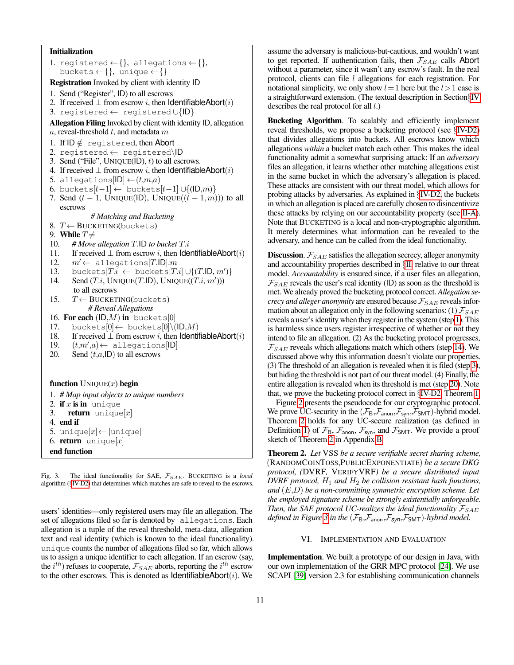# Initialization

```
1. registered \leftarrow \{\}, allegations \leftarrow \{\},
   buckets \leftarrow \{\}, unique \leftarrow \{\}Registration Invoked by client with identity ID
1. Send ("Register", ID) to all escrows
2. If received \perp from escrow i, then IdentifiableAbort(i)
3. registered ← registered ∪{ID}
Allegation Filing Invoked by client with identity ID, allegation
a, reveal-threshold t, and metadata m1. If ID \notin registered, then Abort
2. registered ← registered\ID
3. Send ("File", UNIQUE(ID), t) to all escrows.
4. If received \perp from escrow i, then IdentifiableAbort(i)
5. allegations|ID| \leftarrow (t,m,a)6. buckets[t-1] \leftarrow buckets[t-1] \cup \{(\mathsf{ID}, m)\}7. Send (t - 1, UNIQUE(ID), UNIQUE((t - 1, m)) to all
   escrows
             # Matching and Bucketing
8. T \leftarrow BUCKETING(buckets)9. While T \neq \perp10. # Move allegation T.ID to bucket T.i
11. If received \bot from escrow i, then IdentifiableAbort(i) 12. m' \leftarrow allegations[T.IDl.m
       m' \leftarrow \text{allegations}[T.\mathsf{ID}].m13. buckets[T.i] \leftarrow buckets[T.i] \cup \{(T.ID, m')\}14. Send (T.i, UNIQUE(T.ID), UNIQUE(T.i, m'))to all escrows
15. T \leftarrow BUCKETING(buckets)# Reveal Allegations
16. For each (ID, M) in buckets[0]
17. buckets[0] \leftarrow buckets[0] \setminus (ID, M)18. If received \perp from escrow i, then IdentifiableAbort(i)
19. (t,m',a) \leftarrow allegations[ID]
20. Send (t,a, \mathsf{ID}) to all escrows
function UNIQUE(x) begin
1. # Map input objects to unique numbers
2. if x is in unique
3. return unique[x]4. end if
5. unique[x] \leftarrow |unique|
6. return unique[x]end function
```
<span id="page-10-4"></span><span id="page-10-2"></span><span id="page-10-0"></span>Fig. 3. The ideal functionality for SAE,  $\mathcal{F}_{SAE}$ . BUCKETING is a *local* algorithm (§[IV-D2\)](#page-6-0) that determines which matches are safe to reveal to the escrows.

users' identities—only registered users may file an allegation. The set of allegations filed so far is denoted by allegations. Each allegation is a tuple of the reveal threshold, meta-data, allegation text and real identity (which is known to the ideal functionality). unique counts the number of allegations filed so far, which allows us to assign a unique identifier to each allegation. If an escrow (say, the  $i^{th}$ ) refuses to cooperate,  $\mathcal{F}_{SAE}$  aborts, reporting the  $i^{th}$  escrow to the other escrows. This is denoted as  $IdenitiiableAbort(i)$ . We

assume the adversary is malicious-but-cautious, and wouldn't want to get reported. If authentication fails, then  $\mathcal{F}_{SAE}$  calls Abort without a parameter, since it wasn't any escrow's fault. In the real protocol, clients can file  $l$  allegations for each registration. For notational simplicity, we only show  $l=1$  here but the  $l>1$  case is a straightforward extension. (The textual description in Section§[IV](#page-5-1) describes the real protocol for all  $l$ .)

Bucketing Algorithm. To scalably and efficiently implement reveal thresholds, we propose a bucketing protocol (see §[IV-D2\)](#page-6-0) that divides allegations into buckets. All escrows know which allegations *within* a bucket match each other. This makes the ideal functionality admit a somewhat surprising attack: If an *adversary* files an allegation, it learns whether other matching allegations exist in the same bucket in which the adversary's allegation is placed. These attacks are consistent with our threat model, which allows for probing attacks by adversaries. As explained in §[IV-D2,](#page-6-0) the buckets in which an allegation is placed are carefully chosen to disincentivize these attacks by relying on our accountability property (see [II-A\)](#page-2-0). Note that BUCKETING is a local and non-cryptographic algorithm. It merely determines what information can be revealed to the adversary, and hence can be called from the ideal functionality.

**Discussion.**  $\mathcal{F}_{SAE}$  satisfies the allegation secrecy, alleger anonymity and accountability properties described in §[II,](#page-2-1) relative to our threat model. *Accountability* is ensured since, if a user files an allegation,  $\mathcal{F}_{SAE}$  reveals the user's real identity (ID) as soon as the threshold is met. We already proved the bucketing protocol correct. *Allegation secrecy and alleger anonymity* are ensured because  $\mathcal{F}_{SAE}$  reveals information about an allegation only in the following scenarios: (1)  $\mathcal{F}_{SAE}$ reveals a user's identity when they register in the system (step [1\)](#page-10-1). This is harmless since users register irrespective of whether or not they intend to file an allegation. (2) As the bucketing protocol progresses,  $\mathcal{F}_{SAE}$  reveals which allegations match which others (step [14\)](#page-10-2). We discussed above why this information doesn't violate our properties. (3) The threshold of an allegation is revealed when it is filed (step [3\)](#page-10-3), but hiding the threshold is not part of our threat model. (4) Finally, the entire allegation is revealed when its threshold is met (step [20\)](#page-10-4). Note that, we prove the bucketing protocol correct in §[IV-D2,](#page-6-0) Theorem [1.](#page-7-1)

Figure [2](#page-9-0) presents the pseudocode for our cryptographic protocol. We prove UC-security in the  $(\mathcal{F}_{B}, \mathcal{F}_{\text{anon}}, \mathcal{F}_{\text{SMT}})$ -hybrid model. Theorem [2](#page-10-5) holds for any UC-secure realization (as defined in Definition [1\)](#page-9-3) of  $\mathcal{F}_{B}$ ,  $\mathcal{F}_{\text{anon}}$ ,  $\mathcal{F}_{\text{syn}}$ , and  $\mathcal{F}_{\text{SMT}}$ . We provide a proof sketch of Theorem [2](#page-10-5) in Appendix [B.](#page-14-11)

<span id="page-10-5"></span>Theorem 2. *Let* VSS *be a secure verifiable secret sharing scheme,* (RANDOMCOINTOSS,PUBLICEXPONENTIATE) *be a secure DKG protocol, (*DVRF*,* VERIFYVRF*) be a secure distributed input DVRF protocol,*  $H_1$  *and*  $H_2$  *be collision resistant hash functions, and* (E,D) *be a non-committing symmetric encryption scheme. Let the employed signature scheme be strongly existentially unforgeable. Then, the SAE protocol UC-realizes the ideal functionality*  $\mathcal{F}_{SAE}$ *defined in Figure* [3](#page-10-0) *in the*  $(\mathcal{F}_B, \mathcal{F}_{\text{anon}}, \mathcal{F}_{\text{SWD}}, \mathcal{F}_{\text{SMT}})$ *-hybrid model.* 

## VI. IMPLEMENTATION AND EVALUATION

Implementation. We built a prototype of our design in Java, with our own implementation of the GRR MPC protocol [\[24\]](#page-13-14). We use SCAPI [\[39\]](#page-14-14) version 2.3 for establishing communication channels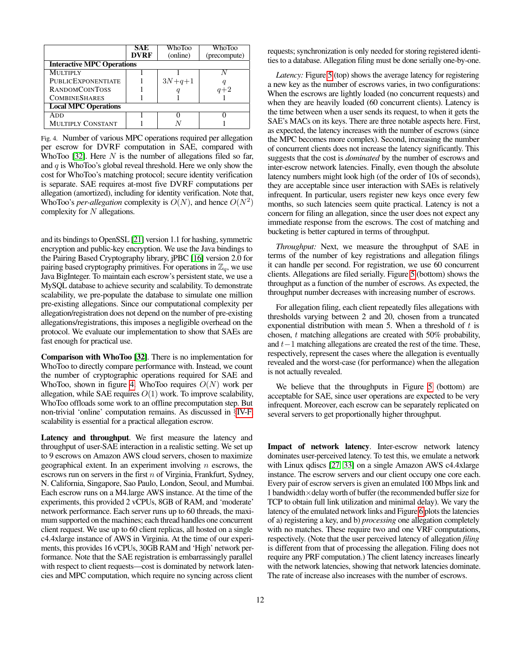|                                   | SAE         | WhoToo   | WhoToo       |
|-----------------------------------|-------------|----------|--------------|
|                                   | <b>DVRF</b> | (online) | (precompute) |
| <b>Interactive MPC Operations</b> |             |          |              |
| <b>MULTIPLY</b>                   |             |          |              |
| <b>PUBLICEXPONENTIATE</b>         |             | $3N+q+1$ |              |
| <b>RANDOMCOINTOSS</b>             |             |          | $q+2$        |
| <b>COMBINESHARES</b>              |             |          |              |
| <b>Local MPC Operations</b>       |             |          |              |
| ADD                               |             |          |              |
| <b>MULTIPLY CONSTANT</b>          |             |          |              |

<span id="page-11-0"></span>Fig. 4. Number of various MPC operations required per allegation per escrow for DVRF computation in SAE, compared with WhoToo [\[32\]](#page-14-1). Here  $N$  is the number of allegations filed so far, and  $q$  is WhoToo's global reveal threshold. Here we only show the cost for WhoToo's matching protocol; secure identity verification is separate. SAE requires at-most five DVRF computations per allegation (amortized), including for identity verification. Note that, WhoToo's *per-allegation* complexity is  $O(N)$ , and hence  $O(N^2)$ complexity for  $N$  allegations.

and its bindings to OpenSSL [\[21\]](#page-13-24) version 1.1 for hashing, symmetric encryption and public-key encryption. We use the Java bindings to the Pairing Based Cryptography library, jPBC [\[16\]](#page-13-25) version 2.0 for pairing based cryptography primitives. For operations in  $\mathbb{Z}_q$ , we use Java BigInteger. To maintain each escrow's persistent state, we use a MySQL database to achieve security and scalability. To demonstrate scalability, we pre-populate the database to simulate one million pre-existing allegations. Since our computational complexity per allegation/registration does not depend on the number of pre-existing allegations/registrations, this imposes a negligible overhead on the protocol. We evaluate our implementation to show that SAEs are fast enough for practical use.

Comparison with WhoToo [\[32\]](#page-14-1). There is no implementation for WhoToo to directly compare performance with. Instead, we count the number of cryptographic operations required for SAE and WhoToo, shown in figure [4.](#page-11-0) WhoToo requires  $O(N)$  work per allegation, while SAE requires  $O(1)$  work. To improve scalability, WhoToo offloads some work to an offline precomputation step. But non-trivial 'online' computation remains. As discussed in §[IV-F,](#page-8-1) scalability is essential for a practical allegation escrow.

Latency and throughput. We first measure the latency and throughput of user-SAE interaction in a realistic setting. We set up to 9 escrows on Amazon AWS cloud servers, chosen to maximize geographical extent. In an experiment involving  $n$  escrows, the escrows run on servers in the first  $n$  of Virginia, Frankfurt, Sydney, N. California, Singapore, Sao Paulo, London, Seoul, and Mumbai. Each escrow runs on a M4.large AWS instance. At the time of the experiments, this provided 2 vCPUs, 8GB of RAM, and 'moderate' network performance. Each server runs up to 60 threads, the maximum supported on the machines; each thread handles one concurrent client request. We use up to 60 client replicas, all hosted on a single c4.4xlarge instance of AWS in Virginia. At the time of our experiments, this provides 16 vCPUs, 30GB RAM and 'High' network performance. Note that the SAE registration is embarrassingly parallel with respect to client requests—cost is dominated by network latencies and MPC computation, which require no syncing across client

requests; synchronization is only needed for storing registered identities to a database. Allegation filing must be done serially one-by-one.

*Latency:* Figure [5](#page-12-0) (top) shows the average latency for registering a new key as the number of escrows varies, in two configurations: When the escrows are lightly loaded (no concurrent requests) and when they are heavily loaded (60 concurrent clients). Latency is the time between when a user sends its request, to when it gets the SAE's MACs on its keys. There are three notable aspects here. First, as expected, the latency increases with the number of escrows (since the MPC becomes more complex). Second, increasing the number of concurrent clients does not increase the latency significantly. This suggests that the cost is *dominated* by the number of escrows and inter-escrow network latencies. Finally, even though the absolute latency numbers might look high (of the order of 10s of seconds), they are acceptable since user interaction with SAEs is relatively infrequent. In particular, users register new keys once every few months, so such latencies seem quite practical. Latency is not a concern for filing an allegation, since the user does not expect any immediate response from the escrows. The cost of matching and bucketing is better captured in terms of throughput.

*Throughput:* Next, we measure the throughput of SAE in terms of the number of key registrations and allegation filings it can handle per second. For registration, we use 60 concurrent clients. Allegations are filed serially. Figure [5](#page-12-0) (bottom) shows the throughput as a function of the number of escrows. As expected, the throughput number decreases with increasing number of escrows.

For allegation filing, each client repeatedly files allegations with thresholds varying between 2 and 20, chosen from a truncated exponential distribution with mean 5. When a threshold of  $t$  is chosen, t matching allegations are created with 50% probability, and t−1 matching allegations are created the rest of the time. These, respectively, represent the cases where the allegation is eventually revealed and the worst-case (for performance) when the allegation is not actually revealed.

We believe that the throughputs in Figure [5](#page-12-0) (bottom) are acceptable for SAE, since user operations are expected to be very infrequent. Moreover, each escrow can be separately replicated on several servers to get proportionally higher throughput.

Impact of network latency. Inter-escrow network latency dominates user-perceived latency. To test this, we emulate a network with Linux qdiscs [\[27,](#page-13-26) [33\]](#page-14-15) on a single Amazon AWS c4.4xlarge instance. The escrow servers and our client occupy one core each. Every pair of escrow servers is given an emulated 100 Mbps link and 1 bandwidth×delay worth of buffer (the recommended buffer size for TCP to obtain full link utilization and minimal delay). We vary the latency of the emulated network links and Figure [6](#page-12-1) plots the latencies of a) registering a key, and b) *processing* one allegation completely with no matches. These require two and one VRF computations, respectively. (Note that the user perceived latency of allegation *filing* is different from that of processing the allegation. Filing does not require any PRF computation.) The client latency increases linearly with the network latencies, showing that network latencies dominate. The rate of increase also increases with the number of escrows.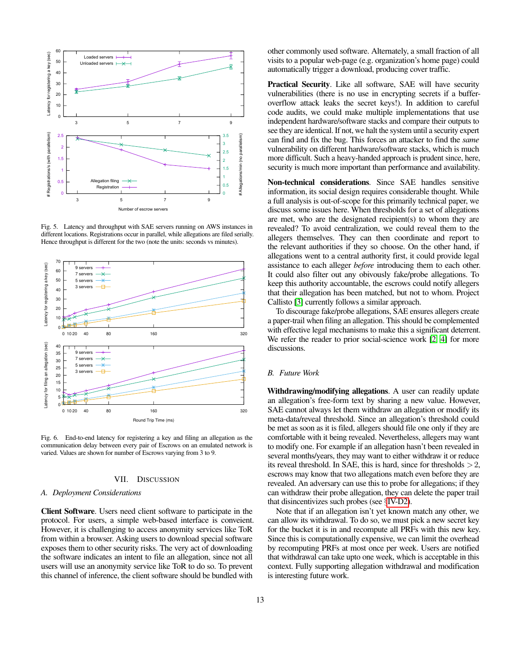

<span id="page-12-0"></span>Fig. 5. Latency and throughput with SAE servers running on AWS instances in different locations. Registrations occur in parallel, while allegations are filed serially. Hence throughput is different for the two (note the units: seconds vs minutes).



<span id="page-12-1"></span>Fig. 6. End-to-end latency for registering a key and filing an allegation as the communication delay between every pair of Escrows on an emulated network is varied. Values are shown for number of Escrows varying from 3 to 9.

## VII. DISCUSSION

# *A. Deployment Considerations*

Client Software. Users need client software to participate in the protocol. For users, a simple web-based interface is conveient. However, it is challenging to access anonymity services like ToR from within a browser. Asking users to download special software exposes them to other security risks. The very act of downloading the software indicates an intent to file an allegation, since not all users will use an anonymity service like ToR to do so. To prevent this channel of inference, the client software should be bundled with other commonly used software. Alternately, a small fraction of all visits to a popular web-page (e.g. organization's home page) could automatically trigger a download, producing cover traffic.

Practical Security. Like all software, SAE will have security vulnerabilities (there is no use in encrypting secrets if a bufferoverflow attack leaks the secret keys!). In addition to careful code audits, we could make multiple implementations that use independent hardware/software stacks and compare their outputs to see they are identical. If not, we halt the system until a security expert can find and fix the bug. This forces an attacker to find the *same* vulnerability on different hardware/software stacks, which is much more difficult. Such a heavy-handed approach is prudent since, here, security is much more important than performance and availability.

Non-technical considerations. Since SAE handles sensitive information, its social design requires considerable thought. While a full analysis is out-of-scope for this primarily technical paper, we discuss some issues here. When thresholds for a set of allegations are met, who are the designated recipient(s) to whom they are revealed? To avoid centralization, we could reveal them to the allegers themselves. They can then coordinate and report to the relevant authorities if they so choose. On the other hand, if allegations went to a central authority first, it could provide legal assistance to each alleger *before* introducing them to each other. It could also filter out any obivously fake/probe allegations. To keep this authority accountable, the escrows could notify allegers that their allegation has been matched, but not to whom. Project Callisto [\[3\]](#page-13-2) currently follows a similar approach.

To discourage fake/probe allegations, SAE ensures allegers create a paper-trail when filing an allegation. This should be complemented with effective legal mechanisms to make this a significant deterrent. We refer the reader to prior social-science work [\[2,](#page-13-3) [4\]](#page-13-1) for more discussions.

## *B. Future Work*

Withdrawing/modifying allegations. A user can readily update an allegation's free-form text by sharing a new value. However, SAE cannot always let them withdraw an allegation or modify its meta-data/reveal threshold. Since an allegation's threshold could be met as soon as it is filed, allegers should file one only if they are comfortable with it being revealed. Nevertheless, allegers may want to modify one. For example if an allegation hasn't been revealed in several months/years, they may want to either withdraw it or reduce its reveal threshold. In SAE, this is hard, since for thresholds  $>2$ , escrows may know that two allegations match even before they are revealed. An adversary can use this to probe for allegations; if they can withdraw their probe allegation, they can delete the paper trail that disincentivizes such probes (see §[IV-D2\)](#page-6-0).

Note that if an allegation isn't yet known match any other, we can allow its withdrawal. To do so, we must pick a new secret key for the bucket it is in and recompute all PRFs with this new key. Since this is computationally expensive, we can limit the overhead by recomputing PRFs at most once per week. Users are notified that withdrawal can take upto one week, which is acceptable in this context. Fully supporting allegation withdrawal and modification is interesting future work.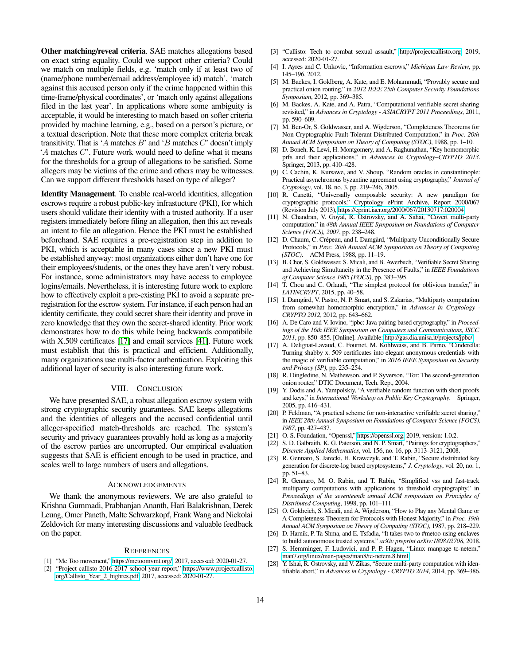Other matching/reveal criteria. SAE matches allegations based on exact string equality. Could we support other criteria? Could we match on multiple fields, e.g. 'match only if at least two of (name/phone number/email address/employee id) match', 'match against this accused person only if the crime happened within this time-frame/physical coordinates', or 'match only against allegations filed in the last year'. In applications where some ambiguity is acceptable, it would be interesting to match based on softer criteria provided by machine learning, e.g., based on a person's picture, or a textual description. Note that these more complex criteria break transitivity. That is 'A matches  $B$ ' and 'B matches  $C$ ' doesn't imply  $A$  matches  $C$ . Future work would need to define what it means for the thresholds for a group of allegations to be satisfied. Some allegers may be victims of the crime and others may be witnesses. Can we support different thresholds based on type of alleger?

Identity Management. To enable real-world identities, allegation escrows require a robust public-key infrastucture (PKI), for which users should validate their identity with a trusted authority. If a user registers immediately before filing an allegation, then this act reveals an intent to file an allegation. Hence the PKI must be established beforehand. SAE requires a pre-registration step in addition to PKI, which is acceptable in many cases since a new PKI must be established anyway: most organizations either don't have one for their employees/students, or the ones they have aren't very robust. For instance, some administrators may have access to employee logins/emails. Nevertheless, it is interesting future work to explore how to effectively exploit a pre-existing PKI to avoid a separate preregistration for the escrow system. For instance, if each person had an identity certificate, they could secret share their identity and prove in zero knowledge that they own the secret-shared identity. Prior work demonstrates how to do this while being backwards compatibile with X.509 certificates [\[17\]](#page-13-27) and email services [\[41\]](#page-14-16). Future work must establish that this is practical and efficient. Additionally, many organizations use multi-factor authentication. Exploiting this additional layer of security is also interesting future work.

## VIII. CONCLUSION

We have presented SAE, a robust allegation escrow system with strong cryptographic security guarantees. SAE keeps allegations and the identities of allegers and the accused confidential until alleger-specified match-thresholds are reached. The system's security and privacy guarantees provably hold as long as a majority of the escrow parties are uncorrupted. Our empirical evaluation suggests that SAE is efficient enough to be used in practice, and scales well to large numbers of users and allegations.

#### ACKNOWLEDGEMENTS

We thank the anonymous reviewers. We are also grateful to Krishna Gummadi, Prabhanjan Ananth, Hari Balakrishnan, Derek Leung, Omer Paneth, Malte Schwarzkopf, Frank Wang and Nickolai Zeldovich for many interesting discussions and valuable feedback on the paper.

#### **REFERENCES**

- <span id="page-13-0"></span>[1] "Me Too movement," [https://metoomvmt.org/,](https://metoomvmt.org/) 2017, accessed: 2020-01-27.
- <span id="page-13-3"></span>[2] "Project callisto 2016-2017 school year report," [https://www.projectcallisto.](https://www.projectcallisto.org/Callisto_Year_2_highres.pdf) [org/Callisto](https://www.projectcallisto.org/Callisto_Year_2_highres.pdf) Year 2 highres.pdf, 2017, accessed: 2020-01-27.
- <span id="page-13-2"></span>[3] "Callisto: Tech to combat sexual assault," [http://projectcallisto.org,](http://projectcallisto.org) 2019, accessed: 2020-01-27.
- <span id="page-13-1"></span>[4] I. Ayres and C. Unkovic, "Information escrows," *Michigan Law Review*, pp. 145–196, 2012.
- <span id="page-13-21"></span>[5] M. Backes, I. Goldberg, A. Kate, and E. Mohammadi, "Provably secure and practical onion routing," in *2012 IEEE 25th Computer Security Foundations Symposium*, 2012, pp. 369–385.
- <span id="page-13-12"></span>[6] M. Backes, A. Kate, and A. Patra, "Computational verifiable secret sharing revisited," in *Advances in Cryptology - ASIACRYPT 2011 Proceedings*, 2011, pp. 590–609.
- <span id="page-13-8"></span>[7] M. Ben-Or, S. Goldwasser, and A. Wigderson, "Completeness Theorems for Non-Cryptographic Fault-Tolerant Distributed Computation," in *Proc. 20th Annual ACM Symposium on Theory of Computing (STOC)*, 1988, pp. 1–10.
- <span id="page-13-19"></span>[8] D. Boneh, K. Lewi, H. Montgomery, and A. Raghunathan, "Key homomorphic prfs and their applications," in *Advances in Cryptology–CRYPTO 2013*. Springer, 2013, pp. 410–428.
- <span id="page-13-20"></span>[9] C. Cachin, K. Kursawe, and V. Shoup, "Random oracles in constantinople: Practical asynchronous byzantine agreement using cryptography," *Journal of Cryptology*, vol. 18, no. 3, pp. 219–246, 2005.
- <span id="page-13-4"></span>[10] R. Canetti, "Universally composable security: A new paradigm for cryptographic protocols," Cryptology ePrint Archive, Report 2000/067 (Revision July 2013), [https://eprint.iacr.org/2000/067/20130717:020004.](https://eprint.iacr.org/2000/067/20130717:020004)
- <span id="page-13-6"></span>[11] N. Chandran, V. Goyal, R. Ostrovsky, and A. Sahai, "Covert multi-party computation," in *48th Annual IEEE Symposium on Foundations of Computer Science (FOCS), 2007*, pp. 238–248.
- <span id="page-13-9"></span>[12] D. Chaum, C. Crépeau, and I. Damgård, "Multiparty Unconditionally Secure Protocols," in *Proc. 20th Annual ACM Symposium on Theory of Computing (STOC)*. ACM Press, 1988, pp. 11–19.
- <span id="page-13-11"></span>[13] B. Chor, S. Goldwasser, S. Micali, and B. Awerbuch, "Verifiable Secret Sharing and Achieving Simultaneity in the Presence of Faults," in *IEEE Foundations of Computer Science 1985 (FOCS)*, pp. 383–395.
- <span id="page-13-22"></span>[14] T. Chou and C. Orlandi, "The simplest protocol for oblivious transfer," in *LATINCRYPT*, 2015, pp. 40–58.
- <span id="page-13-23"></span>[15] I. Damgård, V. Pastro, N. P. Smart, and S. Zakarias, "Multiparty computation from somewhat homomorphic encryption," in *Advances in Cryptology - CRYPTO 2012*, 2012, pp. 643–662.
- <span id="page-13-25"></span>[16] A. De Caro and V. Iovino, "jpbc: Java pairing based cryptography," in *Proceedings of the 16th IEEE Symposium on Computers and Communications, ISCC 2011*, pp. 850–855. [Online]. Available:<http://gas.dia.unisa.it/projects/jpbc/>
- <span id="page-13-27"></span>[17] A. Delignat-Lavaud, C. Fournet, M. Kohlweiss, and B. Parno, "Cinderella: Turning shabby x. 509 certificates into elegant anonymous credentials with the magic of verifiable computation," in *2016 IEEE Symposium on Security and Privacy (SP)*, pp. 235–254.
- <span id="page-13-7"></span>[18] R. Dingledine, N. Mathewson, and P. Syverson, "Tor: The second-generation onion router," DTIC Document, Tech. Rep., 2004.
- <span id="page-13-18"></span>[19] Y. Dodis and A. Yampolskiy, "A verifiable random function with short proofs and keys," in *International Workshop on Public Key Cryptography*. Springer, 2005, pp. 416–431.
- <span id="page-13-13"></span>[20] P. Feldman, "A practical scheme for non-interactive verifiable secret sharing," in *IEEE 28th Annual Symposium on Foundations of Computer Science (FOCS), 1987*, pp. 427–437.
- <span id="page-13-24"></span>[21] O. S. Foundation, "Openssl," [https://openssl.org,](https://openssl.org) 2019, version: 1.0.2.
- <span id="page-13-15"></span>[22] S. D. Galbraith, K. G. Paterson, and N. P. Smart, "Pairings for cryptographers," *Discrete Applied Mathematics*, vol. 156, no. 16, pp. 3113–3121, 2008.
- <span id="page-13-17"></span>[23] R. Gennaro, S. Jarecki, H. Krawczyk, and T. Rabin, "Secure distributed key generation for discrete-log based cryptosystems," *J. Cryptology*, vol. 20, no. 1, pp. 51–83.
- <span id="page-13-14"></span>[24] R. Gennaro, M. O. Rabin, and T. Rabin, "Simplified vss and fast-track multiparty computations with applications to threshold cryptography," in *Proceedings of the seventeenth annual ACM symposium on Principles of Distributed Computing*, 1998, pp. 101–111.
- <span id="page-13-10"></span>[25] O. Goldreich, S. Micali, and A. Wigderson, "How to Play any Mental Game or A Completeness Theorem for Protocols with Honest Majority," in *Proc. 19th Annual ACM Symposium on Theory of Computing (STOC)*, 1987, pp. 218–229.
- <span id="page-13-5"></span>[26] D. Harnik, P. Ta-Shma, and E. Tsfadia, "It takes two to #metoo-using enclaves to build autonomous trusted systems," *arXiv preprint arXiv:1808.02708*, 2018.
- <span id="page-13-26"></span>[27] S. Hemminger, F. Ludovici, and P. P. Hagen, "Linux manpage tc-netem," [man7.org/linux/man-pages/man8/tc-netem.8.html.](man7.org/linux/man-pages/man8/tc-netem.8.html)
- <span id="page-13-16"></span>[28] Y. Ishai, R. Ostrovsky, and V. Zikas, "Secure multi-party computation with identifiable abort," in *Advances in Cryptology - CRYPTO 2014*, 2014, pp. 369–386.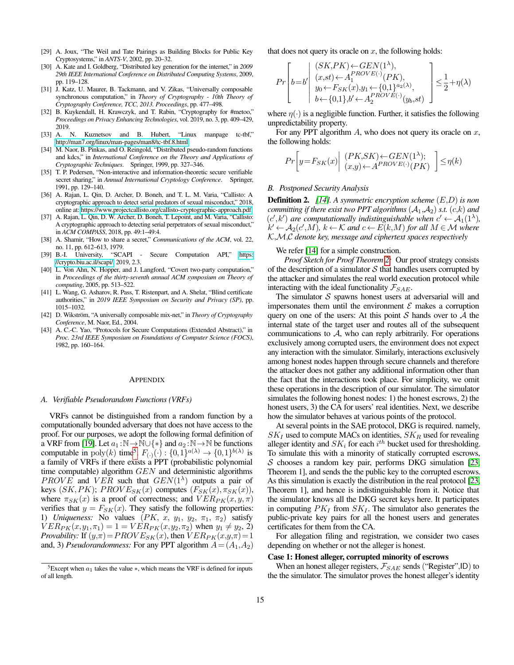- <span id="page-14-7"></span>[29] A. Joux, "The Weil and Tate Pairings as Building Blocks for Public Key Cryptosystems," in *ANTS-V*, 2002, pp. 20–32.
- <span id="page-14-8"></span>[30] A. Kate and I. Goldberg, "Distributed key generation for the internet," in *2009 29th IEEE International Conference on Distributed Computing Systems*, 2009, pp. 119–128.
- <span id="page-14-12"></span>[31] J. Katz, U. Maurer, B. Tackmann, and V. Zikas, "Universally composable synchronous computation," in *Theory of Cryptography - 10th Theory of Cryptography Conference, TCC, 2013. Proceedings*, pp. 477–498.
- <span id="page-14-1"></span>[32] B. Kuykendall, H. Krawczyk, and T. Rabin, "Cryptography for #metoo," *Proceedings on Privacy Enhancing Technologies*, vol. 2019, no. 3, pp. 409–429, 2019.
- <span id="page-14-15"></span>[33] A. N. Kuznetsov and B. Hubert, "Linux manpage tc-tbf," [http://man7.org/linux/man-pages/man8/tc-tbf.8.html.](http://man7.org/linux/man-pages/man8/tc-tbf.8.html)
- <span id="page-14-10"></span>[34] M. Naor, B. Pinkas, and O. Reingold, "Distributed pseudo-random functions and kdcs," in *International Conference on the Theory and Applications of Cryptographic Techniques*. Springer, 1999, pp. 327–346.
- <span id="page-14-6"></span>[35] T. P. Pedersen, "Non-interactive and information-theoretic secure verifiable secret sharing," in *Annual International Cryptology Conference*. Springer, 1991, pp. 129–140.
- <span id="page-14-2"></span>[36] A. Rajan, L. Qin, D. Archer, D. Boneh, and T. L. M. Varia, "Callisto: A cryptographic approach to detect serial predators of sexual misconduct," 2018, online at: [https://www.projectcallisto.org/callisto-cryptographic-approach.pdf.](https://www.projectcallisto.org/callisto-cryptographic-approach.pdf)
- <span id="page-14-3"></span>[37] A. Rajan, L. Qin, D. W. Archer, D. Boneh, T. Lepoint, and M. Varia, "Callisto: A cryptographic approach to detecting serial perpetrators of sexual misconduct," in *ACM COMPASS*, 2018, pp. 49:1–49:4.
- <span id="page-14-0"></span>[38] A. Shamir, "How to share a secret," *Communications of the ACM*, vol. 22, no. 11, pp. 612–613, 1979.
- <span id="page-14-14"></span>[39] B.-I. University, "SCAPI - Secure Computation API," [https:](https://crypto.biu.ac.il/scapi/) [//crypto.biu.ac.il/scapi/,](https://crypto.biu.ac.il/scapi/) 2019, 2.3.
- <span id="page-14-4"></span>[40] L. Von Ahn, N. Hopper, and J. Langford, "Covert two-party computation," in *Proceedings of the thirty-seventh annual ACM symposium on Theory of computing*, 2005, pp. 513–522.
- <span id="page-14-16"></span>[41] L. Wang, G. Asharov, R. Pass, T. Ristenpart, and A. Shelat, "Blind certificate authorities," in *2019 IEEE Symposium on Security and Privacy (SP)*, pp. 1015–1032.
- <span id="page-14-13"></span>[42] D. Wikström, "A universally composable mix-net," in *Theory of Cryptography Conference*, M. Naor, Ed., 2004.
- <span id="page-14-5"></span>[43] A. C.-C. Yao, "Protocols for Secure Computations (Extended Abstract)," in *Proc. 23rd IEEE Symposium on Foundations of Computer Science (FOCS)*, 1982, pp. 160–164.

#### APPENDIX

#### <span id="page-14-9"></span>*A. Verifiable Pseudorandom Functions (VRFs)*

VRFs cannot be distinguished from a random function by a computationally bounded adversary that does not have access to the proof. For our purposes, we adopt the following formal definition of a VRF from [\[19\]](#page-13-18). Let  $a_1 : \mathbb{N} \to \mathbb{N} \cup \{*\}$  and  $a_2 : \mathbb{N} \to \mathbb{N}$  be functions computable in  $\text{poly}(k)$  time<sup>[5](#page-14-17)</sup>.  $F_{(\cdot)}(\cdot) : \{0,1\}^{a(\lambda)} \to \{0,1\}^{b(\lambda)}$  is a family of VRFs if there exists a PPT (probabilistic polynomial time computable) algorithm  $GEN$  and deterministic algorithms PROVE and VER such that  $GEN(1^{\lambda})$  outputs a pair of keys  $(SK, PK)$ ;  $PROVE_{SK}(x)$  computes  $(F_{SK}(x), \pi_{SK}(x))$ , where  $\pi_{SK}(x)$  is a proof of correctness; and  $VER_{PK}(x, y, \pi)$ verifies that  $y = F_{SK}(x)$ . They satisfy the following properties: 1) *Uniqueness:* No values  $(PK, x, y_1, y_2, \pi_1, \pi_2)$  satisfy  $VER_{PK}(x, y_1, \pi_1) = 1 = VER_{PK}(x, y_2, \pi_2)$  when  $y_1 \neq y_2$ , 2) *Provability:* If  $(y,\pi) = PROVE_{SK}(x)$ , then  $VER_{PK}(x,y,\pi) = 1$ and, 3) *Pseudorandomness:* For any PPT algorithm  $A = (A_1, A_2)$  that does not query its oracle on  $x$ , the following holds:

$$
Pr\left[b\!=\!b'\middle|\begin{array}{l} (SK, \!PK) \!\leftarrow\! \!GEN(1^{\lambda}),\\ (x, \!st) \!\leftarrow\! \!A_1^{PROVE(\cdot)}(PK),\\ y_0 \!\leftarrow\! \!F_{SK}(x),\!y_1 \!\leftarrow\! \{0,1\}^{a_2(\lambda)},\\ b \!\leftarrow\! \{0,1\},\!b' \!\leftarrow\! \!A_2^{PROVE(\cdot)}(y_b, \!st)\end{array}\right] \leq \!\frac{1}{2} \!+\! \eta(\lambda)
$$

where  $\eta(\cdot)$  is a negligible function. Further, it satisfies the following unpredictability property.

For any PPT algorithm  $A$ , who does not query its oracle on  $x$ , the following holds:

$$
Pr\bigg[y = F_{SK}(x) \bigg| \begin{array}{l} (PK, SK) \leftarrow GEN(1^{\lambda});\\ (x, y) \leftarrow A^{PROVE(\cdot)}(PK) \end{array} \bigg] \leq \eta(k)
$$

# <span id="page-14-11"></span>*B. Postponed Security Analysis*

Definition 2. *[\[14\]](#page-13-22). A symmetric encryption scheme* (E,D) *is non committing if there exist two PPT algorithms*  $(A_1, A_2)$  *s.t.*  $(c, k)$  *and*  $(c',k')$  are computationally indistinguishable when  $c' \leftarrow A_1(1^{\lambda})$ ,  $k' \leftarrow A_2(c',M)$ ,  $k \leftarrow K$  and  $c \leftarrow E(k,M)$  for all  $M \in \mathcal{M}$  where K,M,C *denote key, message and ciphertext spaces respectively*

We refer [\[14\]](#page-13-22) for a simple construction.

*Proof Sketch for Proof Theorem [2:](#page-10-5)* Our proof strategy consists of the description of a simulator  $S$  that handles users corrupted by the attacker and simulates the real world execution protocol while interacting with the ideal functionality  $\mathcal{F}_{SAE}$ .

The simulator  $S$  spawns honest users at adversarial will and impersonates them until the environment  $\mathcal E$  makes a corruption query on one of the users: At this point  $S$  hands over to  $A$  the internal state of the target user and routes all of the subsequent communications to  $A$ , who can reply arbitrarily. For operations exclusively among corrupted users, the environment does not expect any interaction with the simulator. Similarly, interactions exclusively among honest nodes happen through secure channels and therefore the attacker does not gather any additional information other than the fact that the interactions took place. For simplicity, we omit these operations in the description of our simulator. The simulator simulates the following honest nodes: 1) the honest escrows, 2) the honest users, 3) the CA for users' real identities. Next, we describe how the simulator behaves at various points of the protocol.

At several points in the SAE protocol, DKG is required. namely,  $SK_I$  used to compute MACs on identities,  $SK_R$  used for revealing alleger identity and  $SK_i$  for each  $i^{th}$  bucket used for thresholding. To simulate this with a minority of statically corrupted escrows,  $S$  chooses a random key pair, performs DKG simulation [\[23,](#page-13-17) Theorem 1], and sends the the public key to the corrupted escrows. As this simulation is exactly the distribution in the real protocol [\[23,](#page-13-17) Theorem 1], and hence is indistinguishable from it. Notice that the simulator knows all the DKG secret keys here. It participates in computing  $PK_I$  from  $SK_I$ . The simulator also generates the public-private key pairs for all the honest users and generates certificates for them from the CA.

For allegation filing and registration, we consider two cases depending on whether or not the alleger is honest.

#### Case 1: Honest alleger, corrupted minority of escrows

When an honest alleger registers,  $\mathcal{F}_{SAE}$  sends ("Register", ID) to the the simulator. The simulator proves the honest alleger's identity

<span id="page-14-17"></span><sup>&</sup>lt;sup>5</sup>Except when  $a_1$  takes the value  $*$ , which means the VRF is defined for inputs of all length.